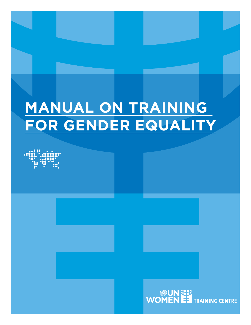# **MANUAL ON TRAINING FOR GENDER EQUALITY**

WOMEN EST TRAINING CENTRE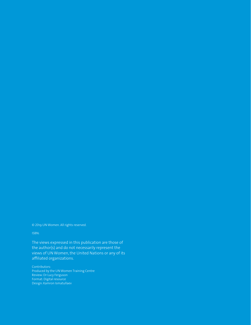© 2019 UN Women. All rights reserved.

#### ISBN:

The views expressed in this publication are those of the author(s) and do not necessarily represent the views of UN Women, the United Nations or any of its affiliated organizations.

Contributors: Produced by the UN Women Training Centre Review: Dr Lucy Ferguson Format: Digital resource Design: Kamron Ismatullaev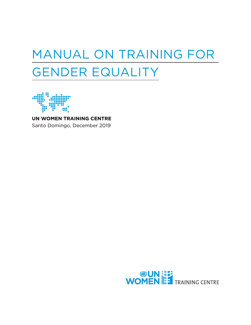# MANUAL ON TRAINING FOR GENDER EQUALITY



**UN WOMEN TRAINING CENTRE** Santo Domingo, December 2019

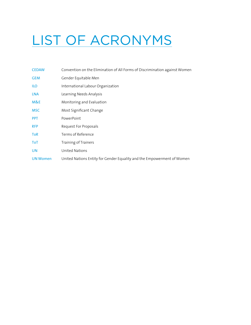# LIST OF ACRONYMS

| <b>CEDAW</b>    | Convention on the Elimination of All Forms of Discrimination against Women |
|-----------------|----------------------------------------------------------------------------|
| <b>GEM</b>      | Gender Equitable Men                                                       |
| <b>ILO</b>      | International Labour Organization                                          |
| LNA             | Learning Needs Analysis                                                    |
| M&E             | Monitoring and Evaluation                                                  |
| <b>MSC</b>      | Most Significant Change                                                    |
| <b>PPT</b>      | PowerPoint                                                                 |
| <b>RFP</b>      | Request For Proposals                                                      |
| <b>ToR</b>      | Terms of Reference                                                         |
| <b>ToT</b>      | Training of Trainers                                                       |
| <b>UN</b>       | <b>United Nations</b>                                                      |
| <b>UN Women</b> | United Nations Entity for Gender Equality and the Empowerment of Women     |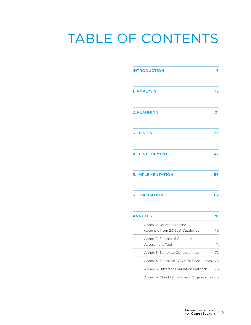# TABLE OF CONTENTS

| <b>INTRODUCTION</b>                                         |                   |
|-------------------------------------------------------------|-------------------|
| 1. ANALYSIS                                                 | $12 \overline{ }$ |
| <b>2. PLANNING</b>                                          | 21                |
| <b>3. DESIGN</b>                                            | 29                |
| <b>4. DEVELOPMENT</b>                                       | 47                |
| <b>5. IMPLEMENTATION</b>                                    | 56                |
| <b>6. EVALUATION</b>                                        | 62                |
| <b>ANNEXES</b>                                              | 70                |
| Annex 1: Course Calendar<br>(example from 2016) & Catalogue | 70                |
| Annex 2: Sample of Capacity<br>Assessment Tool              | 71                |
| Annex 3: Template Concept Note                              | 72                |
| Annex 4: Template TOR's for Consultants                     | 73                |
| Annex 5: Different Evaluation Methods                       | 75                |

[Annex 6: Checklist for Event Organization](#page-75-0) 76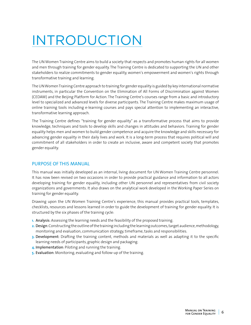# <span id="page-5-0"></span>INTRODUCTION

The UN Women Training Centre aims to build a society that respects and promotes human rights for all women and men through training for gender equality. The Training Centre is dedicated to supporting the UN and other stakeholders to realize commitments to gender equality, women's empowerment and women's rights through transformative training and learning.

The UN Women Training Centre approach to training for gender equality is guided by key international normative instruments, in particular the Convention on the Elimination of All Forms of Discrimination against Women (CEDAW) and the Beijing Platform for Action. The Training Centre's courses range from a basic and introductory level to specialized and advanced levels for diverse participants. The Training Centre makes maximum usage of online training tools including e-learning courses and pays special attention to implementing an interactive, transformative learning approach.

The Training Centre defines "training for gender equality" as a transformative process that aims to provide knowledge, techniques and tools to develop skills and changes in attitudes and behaviors. Training for gender equality helps men and women to build gender competence and acquire the knowledge and skills necessary for advancing gender equality in their daily lives and work. It is a long-term process that requires political will and commitment of all stakeholders in order to create an inclusive, aware and competent society that promotes gender equality.

# PURPOSE OF THIS MANUAL

This manual was initially developed as an internal, living document for UN Women Training Centre personnel. It has now been revised on two occasions in order to provide practical guidance and information to all actors developing training for gender equality, including other UN personnel and representatives from civil society organizations and governments. It also draws on the analytical work developed in the Working Paper Series on training for gender equality.

Drawing upon the UN Women Training Centre's experience, this manual provides practical tools, templates, checklists, resources and lessons learned in order to guide the development of training for gender equality. It is structured by the six phases of the training cycle:

- **1.** Analysis: Assessing the learning needs and the feasibility of the proposed training.
- **2.** Design: Constructing the outline of the training including the learning outcomes, target audience, methodology, monitoring and evaluation, communication strategy, timeframe, tasks and responsibilities.
- **3.** Development: Drafting the training content, methods and materials as well as adapting it to the specific learning needs of participants, graphic design and packaging.
- **4.** Implementation: Piloting and running the training.
- **5.** Evaluation: Monitoring, evaluating and follow-up of the training.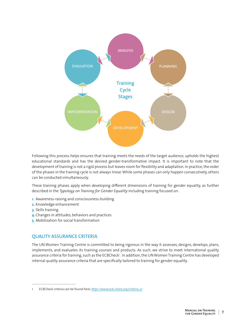

Following this process helps ensures that training meets the needs of the target audience, upholds the highest educational standards and has the desired gender-transformative impact. It is important to note that the development of training is not a rigid process but leaves room for flexibility and adaptation. In practice, the order of the phases in the training cycle is not always linear. While some phases can only happen consecutively, others can be conducted simultaneously.

These training phases apply when developing different dimensions of training for gender equality, as further described in the *Typology on Training for Gender Equality* including training focused on:

- **1.** Awareness-raising and consciousness-building
- **2.** Knowledge enhancement
- **3.** Skills training
- **4.** Changes in attitudes, behaviors and practices
- **5.** Mobilization for social transformation

# QUALITY ASSURANCE CRITERIA

The UN Women Training Centre is committed to being rigorous in the way it assesses, designs, develops, plans, implements, and evaluates its training courses and products. As such, we strive to meet international quality assurance criteria for training, such as the ECBCheck'. In addition, the UN Women Training Centre has developed internal quality assurance criteria that are specifically tailored to training for gender equality.

<sup>1</sup> ECBCheck criteria can be found here: *<http://www.ecb-check.org/criteria-2/>*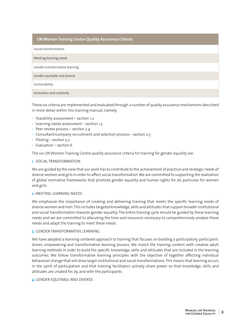# **UN Women Training Centre Quality Assurance Criteria**

Social transformation

Meeting learning needs

Gender-transformative learning

Gender equitable and diverse

Sustainability

Innovation and creativity

These six criteria are implemented and evaluated through a number of quality assurance mechanisms described in more detail within this training manual, namely:

- Feasibility assessment section 1.2
- Learning needs assessment section 1.3
- Peer review process section 2.4
- Consultant/company recruitment and selection process section 2.5
- Piloting section 5.2
- Evaluation section 6

The six UN Women Training Centre quality assurance criteria for training for gender equality are:

### **1. SOCIAL TRANSFORMATION**

We are guided by the view that our work has to contribute to the achievement of practical and strategic needs of diverse women and girls in order to affect social transformation. We are committed to supporting the realization of global normative frameworks that promote gender equality and human rights for all, particular for women and girls.

#### **2. MEETING LEARNING NEEDS**

We emphasize the importance of creating and delivering training that meets the specific learning needs of diverse women and men. This includes targeted knowledge, skills and attitudes that support broader institutional and social transformation towards gender equality. The entire training cycle should be guided by these learning needs and we are committed to allocating the time and resources necessary to comprehensively analyse these needs and adapt the training to meet these needs.

#### **3.** GENDER-TRANSFORMATIVE LEARNING

We have adopted a learning-centered approach to training that focuses on building a participatory, participantdriven, empowering and transformative learning process. We match the training content with creative adult learning methods in order to build the specific knowledge, skills and attitudes that are included in the learning outcomes. We follow transformative learning principles with the objective of together affecting individual behavioral change that will drive larger institutional and social transformations. This means that learning occurs in the spirit of participation and that training facilitators actively share power so that knowledge, skills and attitudes are created for, by, and with the participants.

#### **4.** GENDER EOUITABLE AND DIVERSE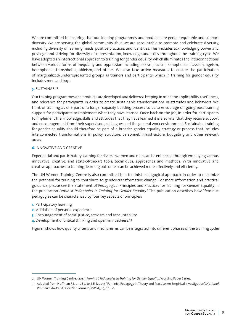We are committed to ensuring that our training programmes and products are gender equitable and support diversity. We are serving the global community, thus we are accountable to promote and celebrate diversity, including diversity of learning needs, positive practices, and identities. This includes acknowledging power and privilege and striving for diversity of representation, knowledge and skills throughout the training cycle. We have adopted an intersectional approach to training for gender equality, which illuminates the interconnections between various forms of inequality and oppression including sexism, racism, xenophobia, classism, ageism, homophobia, transphobia, ableism, and others. We also take active measures to ensure the participation of marginalized/underrepresented groups as trainers and participants, which in training for gender equality includes men and boys.

# **5.** SUSTAINABLE

Our training programmes and products are developed and delivered keeping in mind the applicability, usefulness, and relevance for participants in order to create sustainable transformations in attitudes and behaviors. We think of training as one part of a longer capacity building process so as to encourage on-going post-training support for participants to implement what they have learned. Once back on the job, in order for participants to implement the knowledge, skills and attitudes that they have learned it is also vital that they receive support and encouragement from their supervisors, colleagues and the general work environment. Sustainable training for gender equality should therefore be part of a broader gender equality strategy or process that includes interconnected transformations in policy, structure, personnel, infrastructure, budgeting and other relevant areas.

# **6. INNOVATIVE AND CREATIVE**

Experiential and participatory learning for diverse women and men can be enhanced through employing various innovative, creative, and state-of-the-art tools, techniques, approaches and methods. With innovative and creative approaches to training, learning outcomes can be achieved more effectively and efficiently.

The UN Women Training Centre is also committed to a feminist pedagogical approach, in order to maximize the potential for training to contribute to gender-transformative change. For more information and practical guidance, please see the Statement of Pedagogical Principles and Practices for Training for Gender Equality in the publication *Feminist Pedagogies in Training for Gender Equality.2* The publication describes how "feminist pedagogies can be characterized by four key aspects or principles:

- **1.** Participatory learning
- **2.** Validation of personal experience
- **3.** Encouragement of social justice, activism and accountability.
- **4.** Development of critical thinking and open-mindedness."<sup>3</sup>

Figure 1 shows how quality criteria and mechanisms can be integrated into different phases of the training cycle:

<sup>2</sup> UN Women Training Centre. (2017). F*eminist Pedagogies in Training for Gender Equality*. Working Paper Series.

<sup>3</sup> Adapted from Hoffman F. L. and Stake, J. E. (2001). "Feminist Pedagogy in Theory and Practice: An Empirical Investigation", *National Women's Studies Association Journal (NWSA)*, 19, pp. 80.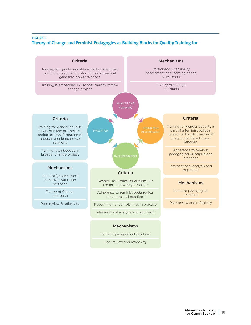# **FIGURE 1 Theory of Change and Feminist Pedagogies as Building Blocks for Quality Training for**



Feminist pedagogical practices

Peer review and reflexivity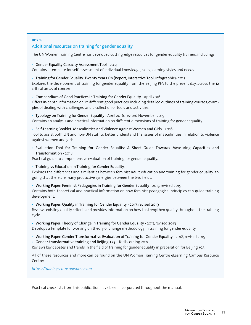# **BOX 1:**  Additional resources on training for gender equality

The UN Women Training Centre has developed cutting-edge resources for gender equality trainers, including:

# • Gender Equality Capacity Assessment Tool - 2014

Contains a template for self-assessment of individual knowledge, skills, learning styles and needs.

• Training for Gender Equality: Twenty Years On (Report, Interactive Tool, Infographic)- 2015

Explores the development of training for gender equality from the Beijing PFA to the present day, across the 12 critical areas of concern.

# • Compendium of Good Practices in Training for Gender Equality - April 2016

Offers in-depth information on 10 different good practices, including detailed outlines of training courses, examples of dealing with challenges, and a collection of tools and activities.

• Typology on Training for Gender Equality - April 2016, revised November 2019

Contains an analysis and practical information on different dimensions of training for gender equality.

# • Self-Learning Booklet: Masculinities and Violence Against Women and Girls - 2016

Tool to assist both UN and non-UN staff to better understand the issues of masculinities in relation to violence against women and girls.

• Evaluation Tool for Training for Gender Equality: A Short Guide Towards Measuring Capacities and Transformation - 2018

Practical guide to comprehensive evaluation of training for gender equality.

• Training vs Education in Training for Gender Equality.

Explores the differences and similarities between feminist adult education and training for gender equality, arguing that there are many productive synergies between the two fields.

• Working Paper: Feminist Pedagogies in Training for Gender Equality - 2017, revised 2019

Contains both theoretical and practical information on how feminist pedagogical principles can guide training development.

# • Working Paper: Quality in Training for Gender Equality - 2017, revised 2019

Reviews existing quality criteria and provides information on how to strengthen quality throughout the training cycle.

# • Working Paper: Theory of Change in Training for Gender Equality - 2017, revised 2019

Develops a template for working on theory of change methodology in training for gender equality.

- Working Paper: Gender-Transformative Evaluation of Training for Gender Equality 2018, revised 2019
- Gender-transformative training and Beijing +25 forthcoming 2020

Reviews key debates and trends in the field of training for gender equality in preparation for Beijing +25.

All of these resources and more can be found on the UN Women Training Centre eLearning Campus Resource Centre:

*[https://trainingcentre.unwomen.org](https://trainingcentre.unwomen.org    )* 

Practical checklists from this publication have been incorporated throughout the manual.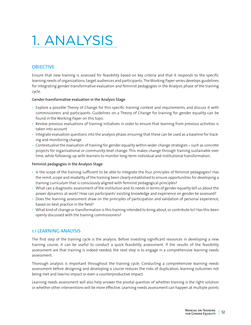# <span id="page-11-0"></span>1. ANALYSIS

# **OBJECTIVE**

Ensure that new training is assessed for feasibility based on key criteria and that it responds to the specific learning needs of organizations, target audiences and participants. The Working Paper series develops guidelines for integrating gender-transformative evaluation and feminist pedagogies in the Analysis phase of the training cycle.

# Gender-transformative evaluation in the Analysis Stage

- Explore a possible Theory of Change for this specific training context and requirements, and discuss it with commissioners and participants. Guidelines on a Theory of Change for training for gender equality can be found in the Working Paper on this topic
- Review previous evaluations of training initiatives in order to ensure that learning from previous activities is taken into account
- Integrate evaluation questions into the analysis phase, ensuring that these can be used as a baseline for tracking and monitoring change
- Contextualise the evaluation of training for gender equality within wider change strategies such as concrete projects for organisational or community-level change. This makes change through training sustainable over time, while following-up with learners to monitor long-term individual and institutional transformation.

# Feminist pedagogies in the Analysis Stage

- Is the scope of the training sufficient to be able to integrate the four principles of feminist pedagogies? Has the remit, scope and modality of the training been clearly established to ensure opportunities for developing a training curriculum that is consciously aligned with feminist pedagogical principles?
- What can a diagnostic assessment of the institution and its needs in terms of gender equality tell us about the power dynamics at work? How can participants' existing knowledge and experience on gender be assessed?
- Does the learning assessment draw on the principles of participation and validation of personal experience, based on best practice in the field?
- What kind of change or transformation is this training intended to bring about, or contribute to? Has this been openly discussed with the training commissioners?

# 1.1 LEARNING ANALYSIS

The first step of the training cycle is the analysis. Before investing significant resources in developing a new training course, it can be useful to conduct a quick feasibility assessment. If the results of the feasibility assessment are that training is indeed needed, the next step is to engage in a comprehensive learning needs assessment.

Thorough analysis is important throughout the training cycle. Conducting a comprehensive learning needs assessment before designing and developing a course reduces the risks of duplication, learning outcomes not being met and low/no impact or even a counterproductive impact.

Learning needs assessment will also help answer the pivotal question of whether training is the right solution or whether other interventions will be more effective. Learning needs assessment can happen at multiple points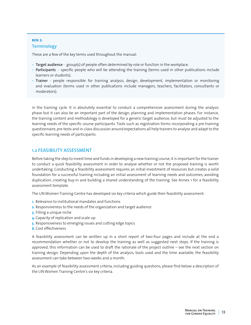# **BOX 2: Terminology**

These are a few of the key terms used throughout the manual:

- Target audience group(s) of people often determined by role or function in the workplace.
- Participants specific people who will be attending the training (terms used in other publications include learners or students).
- Trainer people responsible for training analysis, design, development, implementation or monitoring and evaluation (terms used in other publications include managers, teachers, facilitators, consultants or moderators).

in the training cycle. It is absolutely essential to conduct a comprehensive assessment during the analysis phase but it can also be an important part of the design, planning and implementation phases. For instance, the training content and methodology is developed for a generic target audience, but must be adjusted to the learning needs of the specific course participants. Tools such as registration forms incorporating a pre-training questionnaire, pre-tests and in-class discussion around expectations all help trainers to analyse and adapt to the specific learning needs of participants.

# 1.2 FEASIBILITY ASSESSMENT

Before taking the step to invest time and funds in developing a new training course, it is important for the trainer to conduct a quick feasibility assessment in order to analyse whether or not the proposed training is worth undertaking. Conducting a feasibility assessment requires an initial investment of resources but creates a solid foundation for a successful training including an initial assessment of learning needs and outcomes, avoiding duplication, creating buy-in and building a shared understanding of the training. See Annex 1 for a feasibility assessment template.

The UN Women Training Centre has developed six key criteria which guide their feasibility assessment:

- **1.** Relevance to institutional mandates and functions
- **2.** Responsiveness to the needs of the organization and target audience
- **3.** Filling a unique niche
- **4.** Capacity of replication and scale-up
- **5.** Responsiveness to emerging issues and cutting edge topics
- **6.** Cost effectiveness

A feasibility assessment can be written up in a short report of two-four pages and include at the end a recommendation whether or not to develop the training as well as suggested next steps. If the training is approved, this information can be used to draft the rationale of the project outline – see the next section on training design. Depending upon the depth of the analysis, tools used and the time available, the feasibility assessment can take between two-weeks and a month.

As an example of feasibility assessment criteria, including guiding questions, please find below a description of the UN Women Training Centre's six key criteria.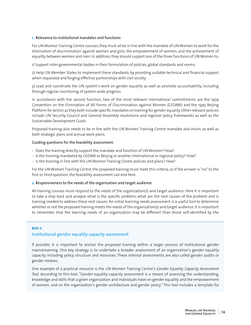# **1.**  Relevance to institutional mandates and functions

For UN Women Training Centre courses, they must all be in line with the mandate of UN Women to work for the elimination of discrimination against women and girls; the empowerment of women; and the achievement of equality between women and men. In addition, they should support one of the three functions of UN Women to:

1) Support inter-governmental bodies in their formulation of policies, global standards and norms.

2) Help UN Member States to implement these standards, by providing suitable technical and financial support when requested and forging effective partnerships with civil society.

3) Lead and coordinate the UN system's work on gender equality as well as promote accountability, including through regular monitoring of system-wide progress.

In accordance with the second function, two of the most relevant international commitments are the 1979 Convention on the Elimination of All Forms of Discrimination against Women (CEDAW) and the 1995 Beijing Platform for Action as they both include specific mandates on training for gender equality. Other relevant policies include UN Security Council and General Assembly resolutions and regional policy frameworks as well as the Sustainable Development Goals.

Proposed training also needs to be in line with the UN Women Training Centre mandate and vision, as well as both strategic plans and annual work plans.

#### Guiding questions for the feasibility assessment:

- Does the training directly support the mandate and function of UN Women? How?
- Is the training mandated by CEDAW or Beijing or another international or regional policy? How?
- Is the training in line with the UN Women Training Centre policies and plans? How?

For the UN Women Training Centre, the proposed training must meet this criteria, so if the answer is "no" to the first or third question, the feasibility assessment can end here.

#### **2.** Responsiveness to the needs of the organization and target audience

All training courses must respond to the needs of the organization(s) and target audience. Here it is important to take a step back and analyse what is the specific problem, what are the root causes of the problem and is training needed to address these root causes. An initial learning needs assessment is a useful tool to determine whether or not the proposed training meets the needs of the organization(s) and target audience. It is important to remember that the learning needs of an organization may be different than those self-identified by the

#### **BOX 3:**

# Institutional gender equality capacity assessment

If possible, it is important to anchor the proposed training within a larger process of institutional gender mainstreaming. One key strategy is to undertake a broader assessment of an organization's gender equality capacity, including policy, structure and resources. These internal assessments are also called gender audits or gender reviews.

One example of a practical resource is the UN Women Training Centre's *Gender Equality Capacity Assessment Tool*. According to this tool, "Gender equality capacity assessment is a means of assessing the understanding, knowledge and skills that a given organization and individuals have on gender equality and the empowerment of women, and on the organization's gender architecture and gender policy." This tool includes a template for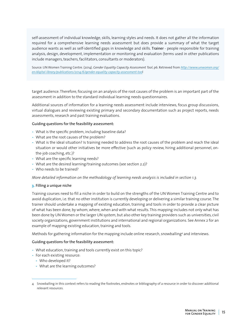self-assessment of individual knowledge, skills, learning styles and needs. It does not gather all the information required for a comprehensive learning needs assessment but does provide a summary of what the target audience wants as well as self-identified gaps in knowledge and skills. Trainer - people responsible for training analysis, design, development, implementation or monitoring and evaluation (terms used in other publications include managers, teachers, facilitators, consultants or moderators).

Source: UN Women Training Centre. (2014). *Gender Equality Capacity Assessment Tool*, p6. Retrieved from *[http://www.unwomen.org/](http://www.unwomen.org/en/digital-library/publications/2014/6/gender-equality-capacity-assessment-too) [en/digital-library/publications/2014/6/gender-equality-capacity-assessment-too](http://www.unwomen.org/en/digital-library/publications/2014/6/gender-equality-capacity-assessment-too)*l

target audience. Therefore, focusing on an analysis of the root causes of the problem is an important part of the assessment in addition to the standard individual learning needs questionnaires.

Additional sources of information for a learning needs assessment include interviews, focus group discussions, virtual dialogues and reviewing existing primary and secondary documentation such as project reports, needs assessments, research and past training evaluations.

#### Guiding questions for the feasibility assessment:

- What is the specific problem, including baseline data?
- What are the root causes of the problem?
- What is the ideal situation? Is training needed to address the root causes of the problem and reach the ideal situation or would other initiatives be more effective (such as policy review, hiring additional personnel, onthe-job coaching, etc.)?
- What are the specific learning needs?
- What are the desired learning/training outcomes (see section 2.2)?
- Who needs to be trained?

*More detailed information on the methodology of learning needs analysis is included in section 1.3.* 

#### **3.** Filling a unique niche

Training courses need to fill a niche in order to build on the strengths of the UN Women Training Centre and to avoid duplication, i.e. that no other institution is currently developing or delivering a similar training course. The trainer should undertake a mapping of existing education, training and tools in order to provide a clear picture of what has been done, by whom, where, when and with what results. This mapping includes not only what has been done by UN Women or the larger UN system, but also other key training providers such as universities, civil society organizations, government institutions and international and regional organizations. See Annex 2 for an example of mapping existing education, training and tools.

Methods for gathering information for the mapping include online research, snowballing<sup>4</sup> and interviews.

#### Guiding questions for the feasibility assessment:

- What education, training and tools currently exist on this topic?
- For each existing resource:
	- Who developed it?
	- What are the learning outcomes?

<sup>4</sup> Snowballing in this context refers to reading the footnotes, endnotes or bibliography of a resource in order to discover additional relevant resources.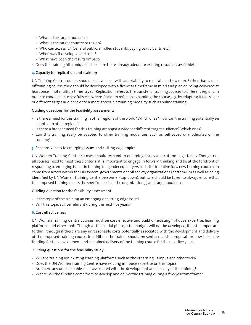- What is the target audience?
- What is the target country or region?
- Who can access it? (General public, enrolled students, paying participants, etc.)
- When was it developed and used?
- What have been the results/impact?
- Does the training fill a unique niche or are there already adequate existing resources available?

# **4.** Capacity for replication and scale-up

UN Training Centre courses should be developed with adaptability to replicate and scale-up. Rather than a oneoff training course, they should be developed with a five-year timeframe in mind and plan on being delivered at least once if not multiple times, a year. Replication refers to the transfer of training courses to different regions, in order to conduct it successfully elsewhere. Scale-up refers to expanding the course, e.g. by adapting it to a wider or different target audience or to a more accessible training modality such as online training.

# Guiding questions for the feasibility assessment:

- Is there a need for this training in other regions of the world? Which ones? How can the training potentially be adapted to other regions?
- Is there a broader need for this training amongst a wider or different target audience? Which ones?
- Can this training easily be adapted to other training modalities, such as self-paced or moderated online training?

# **5.** Responsiveness to emerging issues and cutting-edge topics

UN Women Training Centre courses should respond to emerging issues and cutting-edge topics. Though not all courses need to meet these criteria, it is important to engage in forward thinking and be at the forefront of responding to emerging issues in training for gender equality. As such, the initiative for a new training course can come from actors within the UN system, governments or civil society organizations (bottom-up) as well as being identified by UN Women Training Centre personnel (top-down), but care should be taken to always ensure that the proposed training meets the specific needs of the organization(s) and target audience.

# Guiding question for the feasibility assessment:

- Is the topic of the training an emerging or cutting-edge issue?
- Will this topic still be relevant during the next five years?

# **6.** Cost effectiveness

UN Women Training Centre courses must be cost effective and build on existing in-house expertise, learning platforms and other tools. Though at this initial phase, a full budget will not be developed, it is still important to think through if there are any unreasonable costs potentially associated with the development and delivery of the proposed training course. In addition, the trainer should present a realistic proposal for how to secure funding for the development and sustained delivery of the training course for the next five years.

# Guiding questions for the feasibility study:

- Will the training use existing learning platforms such as the eLearning Campus and other tools?
- Does the UN Women Training Centre have existing in-house expertise on this topic?
- Are there any unreasonable costs associated with the development and delivery of the training?
- Where will the funding come from to develop and deliver the training during a five-year timeframe?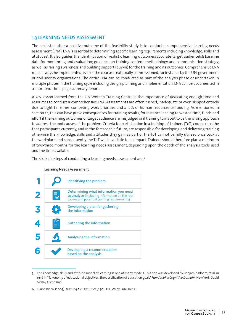# 1.3 LEARNING NEEDS ASSESSMENT

The next step after a positive outcome of the feasibility study is to conduct a comprehensive learning needs assessment (LNA). LNA is essential to determining specific learning requirements including knowledge, skills and attitudes5 . It also guides the identification of realistic learning outcomes; accurate target audience(s); baseline data for monitoring and evaluation; guidance on training content, methodology and communication strategy; as well as raising awareness and building support (buy-in) for the training and its outcomes. Comprehensive LNA must always be implemented, even if the course is externally commissioned, for instance by the UN, government or civil society organizations. The entire LNA can be conducted as part of the analysis phase or undertaken in multiple phases in the training cycle including design, planning and implementation. LNA can be documented in a short two-three page summary report.

A key lesson learned from the UN Women Training Centre is the importance of dedicating enough time and resources to conduct a comprehensive LNA. Assessments are often rushed, inadequate or even skipped entirely due to tight timelines, competing work priorities and a lack of human resources or funding. As mentioned in section 1.1, this can have grave consequences for training results, for instance leading to wasted time, funds and effort if the learning outcomes or target audience are misjudged or if training turns out to be the wrong approach to address the root causes of the problem. Criteria for participation in a training-of-trainers (ToT) course must be that participants currently, and in the foreseeable future, are responsible for developing and delivering training otherwise the knowledge, skills and attitudes they gain as part of the ToT cannot be fully utilized once back at the workplace and consequently the ToT will have little to no impact. Trainers should therefore plan a minimum of two-three months for the learning needs assessment, depending upon the depth of the analysis, tools used and the time available.

The six basic steps of conducting a learning needs assessment are:6



Learning Needs Assessment

<sup>5</sup> The knowledge, skills and attitude model of learning is one of many models. This one was developed by Benjamin Bloom, et al. in 1956 in "Taxonomy of educational objectives: the classification of education goals" *Handbook 1: Cognitive Domain* (New York: David McKay Company).

<sup>6</sup> Elaine Biech. (2005). *Training for Dummies, p.50*. USA: Wiley Publishing.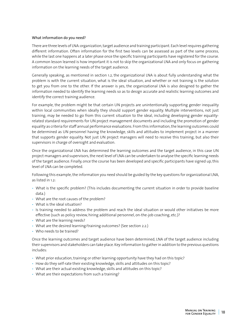# What information do you need?

There are three levels of LNA: organization, target audience and training participant. Each level requires gathering different information. Often information for the first two levels can be assessed as part of the same process, while the last one happens at a later phase once the specific training participants have registered for the course. A common lesson learned is how important it is not to skip the organizational LNA and only focus on gathering information on the learning needs of the target audience.

Generally speaking, as mentioned in section 1.2, the organizational LNA is about fully understanding what the problem is with the current situation, what is the ideal situation, and whether or not training is the solution to get you from one to the other. If the answer is yes, the organizational LNA is also designed to gather the information needed to identify the learning needs so as to design accurate and realistic learning outcomes and identify the correct training audience.

For example, the problem might be that certain UN projects are unintentionally supporting gender inequality within local communities when ideally they should support gender equality. Multiple interventions, not just training, may be needed to go from this current situation to the ideal, including developing gender equalityrelated standard requirements for UN project management documents and including the promotion of gender equality as criteria for staff annual performance evaluations. From this information, the learning outcomes could be determined as UN personnel having the knowledge, skills and attitudes to implement project in a manner that supports gender equality. Not just UN project managers will need to receive this training, but also their supervisors in charge of oversight and evaluation.

Once the organizational LNA has determined the learning outcomes and the target audience, in this case UN project managers and supervisors, the next level of LNA can be undertaken to analyse the specific learning needs of the target audience. Finally, once the course has been developed and specific participants have signed up, this level of LNA can be completed.

Following this example, the information you need should be guided by the key questions for organizational LNA, as listed in 1.2:

- What is the specific problem? (This includes documenting the current situation in order to provide baseline data.)
- What are the root causes of the problem?
- What is the ideal situation?
- Is training needed to address the problem and reach the ideal situation or would other initiatives be more effective (such as policy review, hiring additional personnel, on-the-job coaching, etc.)?
- What are the learning needs?
- What are the desired learning/training outcomes? (See section 2.2.)
- Who needs to be trained?

Once the learning outcomes and target audience have been determined, LNA of the target audience including their supervisors and stakeholders can take place. Key information to gather in addition to the previous questions includes:

- What prior education, training or other learning opportunity have they had on this topic?
- How do they self-rate their existing knowledge, skills and attitudes on this topic?
- What are their actual existing knowledge, skills and attitudes on this topic?
- What are their expectations from such a training?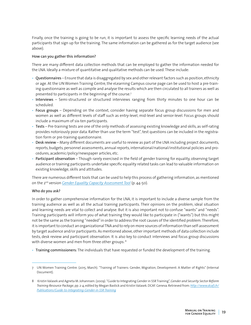Finally, once the training is going to be run, it is important to assess the specific learning needs of the actual participants that sign up for the training. The same information can be gathered as for the target audience (see above).

# How can you gather this information?

There are many different data collection methods that can be employed to gather the information needed for the LNA. Ideally a mixture of quantitative and qualitative methods can be used. These include:

- Questionnaires Ensure that data is disaggregated by sex and other relevant factors such as position, ethnicity or age. At the UN Women Training Centre, the eLearning Campus course page can be used to host a pre-training questionnaire as well as compile and analyse the results which are then circulated to all trainers as well as presented to participants in the beginning of the course.7
- Interviews Semi-structured or structured interviews ranging from thirty minutes to one hour can be scheduled.
- Focus groups Depending on the context, consider having separate focus group discussions for men and women as well as different levels of staff such as entry-level, mid-level and senior-level. Focus groups should include a maximum of six-ten participants.
- Tests Pre-training tests are one of the only methods of assessing existing knowledge and skills, as self-rating provides notoriously poor data. Rather than use the term "test", test questions can be included in the registration form or pre-training questionnaire.
- Desk review Many different documents are useful to review as part of the LNA including project documents, reports, budgets, personnel assessments, annual reports, international/national/institutional policies and procedures, academic/policy/newspaper articles, etc.
- Participant observation Though rarely exercised in the field of gender training for equality, observing target audience or training participants undertake specific equality related tasks can lead to valuable information on existing knowledge, skills and attitudes.

There are numerous different tools that can be used to help this process of gathering information, as mentioned on the 2nd version *[Gender Equality Capacity Assessment Tool](https://trainingcentre.unwomen.org/draftfile.php/11255/user/draft/179584689/2_Manual_Gender_Equality_Capacity_EN.pdf)* (p. 44-50).

# Who do you ask?

In order to gather comprehensive information for the LNA, it is important to include a diverse sample from the training audience as well as all the actual training participants. Their opinions on the problem, ideal situation and learning needs are vital to collect and analyse. But it is also important not to confuse "wants" and "needs". Training participants will inform you of what training they would like to participate in ("wants") but this might not be the same as the training "needed" in order to address the root causes of the identified problem. Therefore, it is important to conduct an organizational TNA and to rely on more sources of information than self-assessment by target audience and/or participants. As mentioned above, other important methods of data collection include tests, desk review and participant observation. It is also key to conduct interviews and focus group discussions with diverse women and men from three other groups: 8

• Training commissioners: The individuals that have requested or funded the development of the training.

<sup>7</sup> UN Women Training Centre. (2015, March). "Training of Trainers: Gender, Migration, Development: A Matter of Rights" (Internal Document).

<sup>8</sup> Kristin Valasek and Agneta M. Johannsen. (2009). "Guide to Integrating Gender in SSR Training", *Gender and Security Sector Reform Training Resource Package*, pp. 2-4, edited by Megan Bastick and Kristin Valasek. DCAF. Geneva. Retrieved from: *[http://www.dcaf.ch/](http://www.dcaf.ch/Publications/Guide-to-Integrating-Gender-in-SSR-Training) [Publications/Guide-to-Integrating-Gender-in-SSR-Training](http://www.dcaf.ch/Publications/Guide-to-Integrating-Gender-in-SSR-Training)*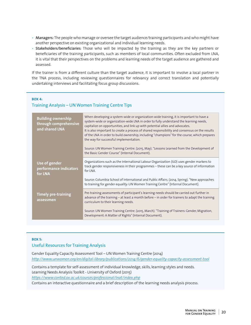- Managers: The people who manage or oversee the target audience/training participants and who might have another perspective on existing organizational and individual learning needs.
- Stakeholders/beneficiaries: Those who will be impacted by the training as they are the key partners or beneficiaries of the training participants, such as members of local communities. Often excluded from LNA, it is vital that their perspectives on the problems and learning needs of the target audience are gathered and assessed.

If the trainer is from a different culture than the target audience, it is important to involve a local partner in the TNA process, including reviewing questionnaires for relevancy and correct translation and potentially undertaking interviews and facilitating focus group discussions.

# **BOX 4:**  Training Analysis – UN Women Training Centre Tips

| <b>Building ownership</b><br>through comprehensive<br>and shared LNA | When developing a system-wide or organization-wide training, it is important to have a<br>system-wide or organization-wide LNA in order to fully understand the learning needs,<br>capitalize on opportunities, and link up with potential allies and advocates.<br>It is also important to create a process of shared responsibility and consensus on the results<br>of the LNA in order to build ownership, including "champions" for the course, which prepares<br>the way for successful implementation.<br>Source: UN Women Training Centre. (2015, May). "Lessons Learned from the Development of<br>the Basic Gender Course" (Internal Document). |
|----------------------------------------------------------------------|----------------------------------------------------------------------------------------------------------------------------------------------------------------------------------------------------------------------------------------------------------------------------------------------------------------------------------------------------------------------------------------------------------------------------------------------------------------------------------------------------------------------------------------------------------------------------------------------------------------------------------------------------------|
| Use of gender<br>performance indicators<br>for LNA                   | Organizations such as the International Labour Organization (ILO) uses gender markers to<br>track gender responsiveness in their programmes - these can be a key source of information<br>for LNA.                                                                                                                                                                                                                                                                                                                                                                                                                                                       |
|                                                                      | Source: Columbia School of International and Public Affairs. (2014, Spring). "New approaches<br>to training for gender equality: UN Women Training Centre" (Internal Document).                                                                                                                                                                                                                                                                                                                                                                                                                                                                          |
| <b>Timely pre-training</b><br>assessmen                              | Pre-training assessments of participant's learning needs should be carried out further in<br>advance of the training - at least a month before - in order for trainers to adapt the training<br>curriculum to their learning needs.                                                                                                                                                                                                                                                                                                                                                                                                                      |
|                                                                      | Source: UN Women Training Centre. (2015, March). "Training of Trainers: Gender, Migration,<br>Development: A Matter of Rights" (Internal Document).                                                                                                                                                                                                                                                                                                                                                                                                                                                                                                      |

# **BOX 5:**

# Useful Resources for Training Analysis

Gender Equality Capacity Assessment Tool – UN Women Training Centre (2014) *<http://www.unwomen.org/en/digital-library/publications/2014/6/gender-equality-capacity-assessment-tool>*

Contains a template for self-assessment of individual knowledge, skills, learning styles and needs. Learning Needs Analysis Toolkit - University of Oxford (2015) *<https://www.conted.ox.ac.uk/courses/professional/lnat/index.php>*

Contains an interactive questionnaire and a brief description of the learning needs analysis process.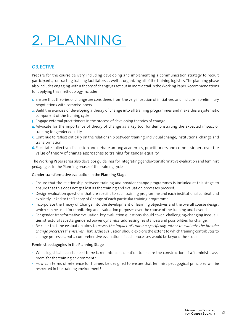# <span id="page-20-0"></span>2. PLANNING

# **OBJECTIVE**

Prepare for the course delivery, including developing and implementing a communication strategy to recruit participants, contracting training facilitators as well as organizing all of the training logistics. The planning phase also includes engaging with a theory of change, as set out in more detail in the Working Paper. Recommendations for applying this methodology include:

- **1.**  Ensure that theories of change are considered from the very inception of initiatives, and include in preliminary negotiations with commissioners
- **2.** Build the exercise of developing a theory of change into all training programmes and make this a systematic component of the training cycle
- **3.** Engage external practitioners in the process of developing theories of change
- **4.** Advocate for the importance of theory of change as a key tool for demonstrating the expected impact of training for gender equality
- **5.** Continue to reflect critically on the relationship between training, individual change, institutional change and transformation
- **6.** Facilitate collective discussion and debate among academics, practitioners and commissioners over the value of theory of change approaches to training for gender equality

The Working Paper series also develops guidelines for integrating gender-transformative evaluation and feminist pedagogies in the Planning phase of the training cycle.

# Gender-transformative evaluation in the Planning Stage

- Ensure that the relationship between training and broader change programmes is included at this stage, to ensure that this does not get lost as the training and evaluation processes proceed.
- Design evaluation questions that are specific to each training programme and each institutional context and explicitly linked to the Theory of Change of each particular training programme
- Incorporate the Theory of Change into the development of learning objectives and the overall course design, which can be used for monitoring and evaluation purposes over the course of the training and beyond
- For gender-transformative evaluation, key evaluation questions should cover: challenging/changing inequalities; structural aspects; gendered power dynamics; addressing resistances; and possibilities for change.
- Be clear that the evaluation aims to *assess the impact of training specifically, rather to evaluate the broader change processes themselves*. That is, the evaluation should explore the extent to which training contributes to change processes, but a comprehensive evaluation of such processes would be beyond the scope.

# Feminist pedagogies in the Planning Stage

- What logistical aspects need to be taken into consideration to ensure the construction of a 'feminist classroom' for the training environment?
- How can terms of reference for trainers be designed to ensure that feminist pedagogical principles will be respected in the training environment?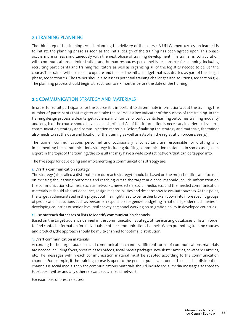# 2.1 TRAINING PLANNING

The third step of the training cycle is planning the delivery of the course. A UN Women key lesson learned is to initiate the planning phase as soon as the initial design of the training has been agreed upon. This phase occurs more or less simultaneously with the next phase of training development. The trainer in collaboration with communications, administration and human resources personnel is responsible for planning including recruiting participants and training facilitators as well as organizing all of the logistics needed to deliver the course. The trainer will also need to update and finalize the initial budget that was drafted as part of the design phase, see section 2.3. The trainer should also assess potential training challenges and solutions, see section 5.4. The planning process should begin at least four to six months before the date of the training.

# 2.2 COMMUNICATION STRATEGY AND MATERIALS

In order to recruit participants for the course, it is important to disseminate information about the training. The number of participants that register and take the course is a key indicator of the success of the training. In the training design process, a clear target audience and number of participants, learning outcomes, training modality and length of the course should have been established. All of this information is necessary in order to develop a communication strategy and communication materials. Before finalizing the strategy and materials, the trainer also needs to set the date and location of the training as well as establish the registration process, see 3.3.

The trainer, communications personnel and occasionally a consultant are responsible for drafting and implementing the communications strategy, including drafting communication materials. In some cases, as an expert in the topic of the training, the consultant may have a wide contact network that can be tapped into.

The five steps for developing and implementing a communications strategy are:

# **1.** Draft a communication strategy

The strategy (also called a distribution or outreach strategy) should be based on the project outline and focused on meeting the learning outcomes and reaching out to the target audience. It should include information on the communication channels, such as networks, newsletters, social media, etc. and the needed communication materials. It should also set deadlines, assign responsibilities and describe how to evaluate success. At this point, the target audience stated in the project outline might need to be further broken down into more specific groups of people and institutions such as personnel responsible for gender budgeting in national gender machineries in developing countries or senior-level civil society personnel working on migration policy in developed countries.

# **2.** Use outreach databases or lists to identify communication channels

Based on the target audience defined in the communication strategy, utilize existing databases or lists in order to find contact information for individuals or other communication channels. When promoting training courses and products, the approach should be multi-channel for optimal distribution.

# **3.** Draft communication materials

According to the target audience and communication channels, different forms of communications materials are needed including flyers, press releases, videos, social media packages, newsletter articles, newspaper articles, etc. The messages within each communication material must be adapted according to the communication channel. For example, if the training course is open to the general public and one of the selected distribution channels is social media, then the communications materials should include social media messages adapted to Facebook, Twitter and any other relevant social media network.

For examples of press releases: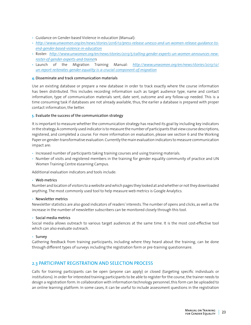- Guidance on Gender-based Violence in education (Manual):
- *[http://www.unwomen.org/en/news/stories/2016/12/press-release-unesco-and-un-women-release-guidance-to](http://www.unwomen.org/en/news/stories/2016/12/press-release-unesco-and-un-women-release-guidance-to-end-gender-based-violence-in-education)[end-gender-based-violence-in-education](http://www.unwomen.org/en/news/stories/2016/12/press-release-unesco-and-un-women-release-guidance-to-end-gender-based-violence-in-education)*
- Roster: *[http://www.unwomen.org/en/news/stories/2013/5/calling-gender-experts-un-women-announces-new](http://www.unwomen.org/en/news/stories/2013/5/calling-gender-experts-un-women-announces-new-roster-of-gender-experts-and-trainer)[roster-of-gender-experts-and-trainer](http://www.unwomen.org/en/news/stories/2013/5/calling-gender-experts-un-women-announces-new-roster-of-gender-experts-and-trainer)*s
- Launch of the Migration Training Manual: *[http://www.unwomen.org/en/news/stories/2013/12/](http://www.unwomen.org/en/news/stories/2013/12/un-report-reiterates-gender-equality-is-a-crucial-component-of-migration) [un-report-reiterates-gender-equality-is-a-crucial-component-of-migration](http://www.unwomen.org/en/news/stories/2013/12/un-report-reiterates-gender-equality-is-a-crucial-component-of-migration)*

# **4.** Disseminate and track communication materials

Use an existing database or prepare a new database in order to track exactly where the course information has been distributed. This includes recording information such as target audience type, name and contact information, type of communication materials sent, date sent, outcome and any follow-up needed. This is a time consuming task if databases are not already available, thus, the earlier a database is prepared with proper contact information, the better.

# **5.** Evaluate the success of the communication strategy

It is important to measure whether the communication strategy has reached its goal by including key indicators in the strategy. A commonly used indicator is to measure the number of participants that view course descriptions, registered, and completed a course. For more information on evaluation, please see section 6 and the Working Paper on gender-transformative evaluation. Currently the main evaluation indicators to measure communication impact are:

- Increased number of participants taking training courses and using training materials.
- Number of visits and registered members in the training for gender equality community of practice and UN Women Training Centre eLearning Campus.

Additional evaluation indicators and tools include:

# • Web metrics

Number and location of visitors to a website and which pages they looked at and whether or not they downloaded anything. The most commonly used tool to help measure web metrics is Google Analytics.

# • Newsletter metrics

Newsletter statistics are also good indicators of readers' interests. The number of opens and clicks, as well as the increase in the number of newsletter subscribers can be monitored closely through this tool.

# • Social media metrics

Social media allows outreach to various target audiences at the same time. It is the most cost-effective tool which can also evaluate outreach.

# • Survey

Gathering feedback from training participants, including where they heard about the training, can be done through different types of surveys including the registration form or pre-training questionnaire.

# 2.3 PARTICIPANT REGISTRATION AND SELECTION PROCESS

Calls for training participants can be open (anyone can apply) or closed (targeting specific individuals or institutions). In order for interested training participants to be able to register for the course, the trainer needs to design a registration form. In collaboration with information technology personnel, this form can be uploaded to an online learning platform. In some cases, it can be useful to include assessment questions in the registration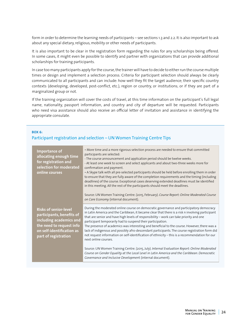form in order to determine the learning needs of participants – see sections 1.3 and 2.2. It is also important to ask about any special dietary, religious, mobility or other needs of participants.

It is also important to be clear in the registration form regarding the rules for any scholarships being offered. In some cases, it might even be possible to identify and partner with organizations that can provide additional scholarships for training participants.

In case too many participants apply for the course, the trainer will have to decide to either run the course multiple times or design and implement a selection process. Criteria for participant selection should always be clearly communicated to all participants and can include: how well they fit the target audience; their specific country contexts (developing, developed, post-conflict, etc.), region or country, or institutions; or if they are part of a marginalized group or not.

If the training organization will cover the costs of travel, at this time information on the participant's full legal name, nationality, passport information, and country and city of departure will be requested. Participants who need visa assistance should also receive an official letter of invitation and assistance in identifying the appropriate consulate.

#### **BOX 6:**

# Participant registration and selection – UN Women Training Centre Tips

| Importance of<br>allocating enough time<br>for registration and<br>selection for moderated<br>online courses                                                          | • More time and a more rigorous selection process are needed to ensure that committed<br>participants are selected:<br>- The course announcement and application period should be twelve weeks.<br>- At least one week to screen and select applicants and about two-three weeks more for<br>confirmation and payment.<br>• A Skype talk with all pre-selected participants should be held before enrolling them in order<br>to ensure that they are fully aware of the completion requirements and the timing (including<br>deadlines) of the course. Exceptional cases deserving extended deadlines must be identified<br>in this meeting. All the rest of the participants should meet the deadlines.<br>Source: UN Women Training Centre. (2015, February). Course Report: Online Moderated Course<br>on Care Economy (internal document).                                                                                                |
|-----------------------------------------------------------------------------------------------------------------------------------------------------------------------|-----------------------------------------------------------------------------------------------------------------------------------------------------------------------------------------------------------------------------------------------------------------------------------------------------------------------------------------------------------------------------------------------------------------------------------------------------------------------------------------------------------------------------------------------------------------------------------------------------------------------------------------------------------------------------------------------------------------------------------------------------------------------------------------------------------------------------------------------------------------------------------------------------------------------------------------------|
| <b>Risks of senior-level</b><br>participants, benefits of<br>including academics and<br>the need to request info<br>on self-identification as<br>part of registration | During the moderated online course on democratic governance and participatory democracy<br>in Latin America and the Caribbean, it became clear that there is a risk n involving participant<br>that are senior and have high levels of responsibility - work can take priority and one<br>participant temporarily had to suspend their participation.<br>The presence of academics was interesting and beneficial to the course. However, there was a<br>lack of indigenous and possibly afro-descendant participants. The course registration form did<br>not request information on self-identification of ethnicity - this is a recommendation for our<br>next online courses.<br>Source: UN Women Training Centre. (2015, July). Internal Evaluation Report: Online Moderated<br>Course on Gender Equality at the Local Level in Latin America and the Caribbean: Democratic<br>Governance and Inclusive Development (internal document). |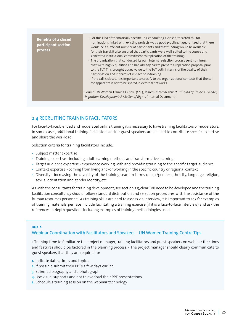| <b>Benefits of a closed</b><br>participant section<br>process | • For this kind of thematically specific ToT, conducting a closed, targeted call for<br>nominations linked with existing projects was a good practice. It guaranteed that there<br>would be a sufficient number of participants and that funding would be available<br>for their travel. It also ensured that participants were well-suited to the course and<br>generated institutional commitment to replication of the training.<br>• The organization that conducted its own internal selection process sent nominees<br>that were highly qualified and had already had to prepare a replication proposal prior<br>to the ToT. This brought added value to the ToT both in terms of the quality of their<br>participation and in terms of impact post-training.<br>• If the call is closed, it is important to specify to the organizational contacts that the call<br>for applicants is not to be shared in external networks. |
|---------------------------------------------------------------|-------------------------------------------------------------------------------------------------------------------------------------------------------------------------------------------------------------------------------------------------------------------------------------------------------------------------------------------------------------------------------------------------------------------------------------------------------------------------------------------------------------------------------------------------------------------------------------------------------------------------------------------------------------------------------------------------------------------------------------------------------------------------------------------------------------------------------------------------------------------------------------------------------------------------------------|
|                                                               | Source: UN Women Training Centre. (2015, March). Internal Report: Training of Trainers: Gender,<br>Migration, Development: A Matter of Rights (internal Document).                                                                                                                                                                                                                                                                                                                                                                                                                                                                                                                                                                                                                                                                                                                                                                  |

# 2.4 RECRUITING TRAINING FACILITATORS

For face-to-face, blended and moderated online training it is necessary to have training facilitators or moderators. In some cases, additional training facilitators and/or guest speakers are needed to contribute specific expertise and share the workload.

Selection criteria for training facilitators include:

- Subject matter expertise
- Training expertise including adult learning methods and transformative learning
- Target audience expertise experience working with and providing training to the specific target audience
- Context expertise coming from living and/or working in the specific country or regional context
- Diversity increasing the diversity of the training team in terms of sex/gender, ethnicity, language, religion, sexual orientation and gender identity, etc.

As with the consultants for training development, see section 2.5, clear ToR need to be developed and the training facilitation consultancy should follow standard distribution and selection procedures with the assistance of the human resources personnel. As training skills are hard to assess via interview, it is important to ask for examples of training materials, perhaps include facilitating a training exercise (if it is a face-to-face interview) and ask the references in-depth questions including examples of training methodologies used.

# **BOX 7:**

# Webinar Coordination with Facilitators and Speakers – UN Women Training Centre Tips

• Training time to familiarize the project manager, training facilitators and guest speakers on webinar functions and features should be factored in the planning process. • The project manager should clearly communicate to guest speakers that they are required to:

- **1.** Indicate dates, times and topics.
- **2.** If possible submit their PPTs a few days earlier.
- **3.** Submit a biography and a photograph.
- **4.** Use visual supports and not to overload their PPT presentations.
- **5.** Schedule a training session on the webinar technology.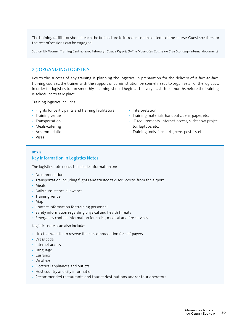The training facilitator should teach the first lecture to introduce main contents of the course. Guest speakers for the rest of sessions can be engaged.

Source: UN Women Training Centre. (2015, February). *Course Report: Online Moderated Course on Care Economy* (internal document).

# 2.5 ORGANIZING LOGISTICS

Key to the success of any training is planning the logistics. In preparation for the delivery of a face-to-face training courses, the trainer with the support of administration personnel needs to organize all of the logistics. In order for logistics to run smoothly, planning should begin at the very least three months before the training is scheduled to take place.

Training logistics includes:

- Flights for participants and training facilitators
- Training venue
- Transportation
- Meals/catering
- Accommodation
- Visas
- **BOX 8:**

# Key Information in Logistics Notes

The logistics note needs to include information on:

- Accommodation
- Transportation including flights and trusted taxi services to/from the airport
- Meals
- Daily subsistence allowance
- Training venue
- Map
- Contact information for training personnel
- Safety information regarding physical and health threats
- Emergency contact information for police, medical and fire services

#### Logistics notes can also include:

- Link to a website to reserve their accommodation for self-payers
- Dress code
- Internet access
- Language
- Currency
- Weather
- Electrical appliances and outlets
- Host country and city information
- Recommended restaurants and tourist destinations and/or tour operators
- Interpretation
- Training materials, handouts, pens, paper, etc.
- IT requirements, internet access, slideshow projector, laptops, etc.
- Training tools, flipcharts, pens, post-its, etc.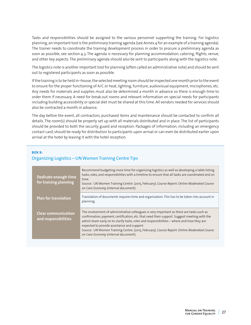Tasks and responsibilities should be assigned to the various personnel supporting the training. For logistics planning, an important tool is the preliminary training agenda (see Annex 4 for an example of a training agenda). The trainer needs to coordinate the training development process in order to procure a preliminary agenda as soon as possible, see section 4.3. The agenda is necessary for planning accommodation, catering, flights, venue, and other key aspects. The preliminary agenda should also be sent to participants along with the logistics note.

The logistics note is another important tool for planning (often called an administrative note) and should be sent out to registered participants as soon as possible.

If the training is to be held in–house, the selected meeting room should be inspected one month prior to the event to ensure for the proper functioning of A/C or heat, lighting, furniture, audiovisual equipment, microphones, etc. Any needs for materials and supplies must also be determined a month in advance so there is enough time to order them if necessary. A need for break-out rooms and relevant information on special needs for participants including building accessibility or special diet must be shared at this time. All vendors needed for services should also be contracted a month in advance.

The day before the event, all contractors, purchased items and maintenance should be contacted to confirm all details. The room(s) should be properly set up with all materials distributed and in place. The list of participants should be provided to both the security guard and reception. Packages of information, including an emergency contact card, should be ready for distribution to participants upon arrival or can even be distributed earlier upon arrival at the hotel by leaving it with the hotel reception.

#### **BOX 9:**

# Organizing Logistics – UN Women Training Centre Tips

| Dedicate enough time<br>for training planning      | Recommend budgeting more time for organizing logistics as well as developing a table listing<br>tasks, roles, and responsibilities with a timeline to ensure that all tasks are coordinated and on<br>time.<br>Source: UN Women Training Centre. (2015, February). Course Report: Online Moderated Course<br>on Care Economy (internal document).                                                                                                                           |
|----------------------------------------------------|-----------------------------------------------------------------------------------------------------------------------------------------------------------------------------------------------------------------------------------------------------------------------------------------------------------------------------------------------------------------------------------------------------------------------------------------------------------------------------|
| <b>Plan for translation</b>                        | Translation of documents requires time and organization. This has to be taken into account in<br>planning.                                                                                                                                                                                                                                                                                                                                                                  |
| <b>Clear communication</b><br>and responsibilities | The involvement of administrative colleagues is very important as there are tasks such as<br>confirmation, payment, certification, etc. that need their support. Suggest meeting with the<br>admin team early on to clarify tasks, roles and responsibilities - where and how they are<br>expected to provide assistance and support.<br>Source: UN Women Training Centre. (2015, February). Course Report: Online Moderated Course<br>on Care Economy (internal document). |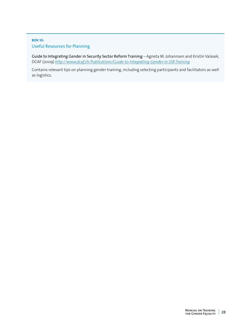# **BOX 10:**  Useful Resources for Planning

Guide to Integrating Gender in Security Sector Reform Training *–* Agneta M. Johannsen and Kristin Valasek, DCAF (2009) *<http://www.dcaf.ch/Publications/Guide-to-Integrating-Gender-in-SSR-Training>*

Contains relevant tips on planning gender training, including selecting participants and facilitators as well as logistics.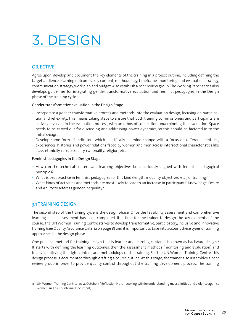# <span id="page-28-0"></span>3. DESIGN

# **OBJECTIVE**

Agree upon, develop and document the key elements of the training in a project outline, including defining the target audience, learning outcomes, key content, methodology, timeframe, monitoring and evaluation strategy, communication strategy, work plan and budget. Also establish a peer review group. The Working Paper series also develops guidelines for integrating gender-transformative evaluation and feminist pedagogies in the Design phase of the training cycle.

# Gender-transformative evaluation in the Design Stage

- Incorporate a gender-transformative process and methods into the evaluation design, focusing on participation and reflexivity. This means taking steps to ensure that both training commissioners and participants are actively involved in the evaluation process, with an ethos of co-creation underpinning the evaluation. Space needs to be carved out for discussing and addressing power dynamics, so this should be factored in to the initial design.
- Develop some form of indicators which specifically examine change with a focus on different identities, experiences, histories and power relations faced by women and men across intersectional characteristics like class, ethnicity, race, sexuality, nationality, religion, etc.

# Feminist pedagogies in the Design Stage

- How can the technical content and learning objectives be consciously aligned with feminist pedagogical principles?
- What is best practice in feminist pedagogies for this kind (length, modality, objectives, etc.) of training?
- What kinds of activities and methods are most likely to lead to an increase in participants' Knowledge, Desire and Ability to address gender inequality?

# 3.1 TRAINING DESIGN

The second step of the training cycle is the design phase. Once the feasibility assessment and comprehensive learning needs assessment has been completed, it is time for the trainer to design the key elements of the course. The UN Women Training Centre strives to develop transformative, participatory, inclusive and innovative training (see Quality Assurance Criteria on page 8) and it is important to take into account these types of training approaches in the design phase.

One practical method for training design that is learner and learning centered is known as backward design.<sup>9</sup> It starts with defining the learning outcomes, then the assessment methods (monitoring and evaluation) and finally identifying the right content and methodology of the training. For the UN Women Training Centre, this design process is documented through drafting a course outline. At this stage, the trainer also assembles a peer review group in order to provide quality control throughout the training development process. The training

<sup>9</sup> UN Women Training Centre. (2014, October). "Reflection Note - Looking within: understanding masculinities and violence against women and girls" (Internal Document).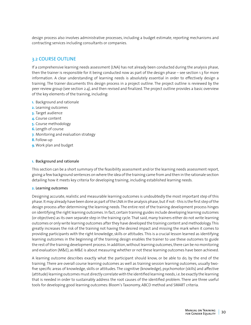design process also involves administrative processes, including a budget estimate, reporting mechanisms and contracting services including consultants or companies.

# 3.2 COURSE OUTLINE

If a comprehensive learning needs assessment (LNA) has not already been conducted during the analysis phase, then the trainer is responsible for it being conducted now as part of the design phase – see section 1.3 for more information. A clear understanding of learning needs is absolutely essential in order to effectively design a training. The trainer documents this design process in a project outline. The project outline is reviewed by the peer review group (see section 2.4), and then revised and finalized. The project outline provides a basic overview of the key elements of the training, including:

- **1.** Background and rationale
- **2.** Learning outcomes
- **3.** Target audience
- **4.** Course content
- **5.** Course methodology
- **6.** Length of course
- **7.** Monitoring and evaluation strategy
- **8.** Follow-up
- **9.** Work plan and budget

#### **1.** Background and rationale

This section can be a short summary of the feasibility assessment and/or the learning needs assessment report, giving a few background sentences on where the idea of the training came from and then in the rationale section detailing how it meets key criteria for developing training, including established learning needs.

#### **2.** Learning outcomes

Designing accurate, realistic and measurable learning outcomes is undoubtedly the most important step of this phase. It may already have been done as part of the LNA in the analysis phase, but if not - this is the first step of the design process after determining the learning needs. The entire rest of the training development process hinges on identifying the right learning outcomes. In fact, certain training guides include developing learning outcomes (or objectives) as its own separate step in the training cycle. That said, many trainers either do not write learning outcomes or only write learning outcomes after they have developed the training content and methodology. This greatly increases the risk of the training not having the desired impact and missing the mark when it comes to providing participants with the right knowledge, skills or attitudes. This is a crucial lesson learned as identifying learning outcomes in the beginning of the training design enables the trainer to use these outcomes to guide the rest of the training development process. In addition, without learning outcomes, there can be no monitoring and evaluation (M&E), as M&E is about measuring whether or not these learning outcomes have been achieved.

A learning outcome describes exactly what the participant should know, or be able to do, by the end of the training. There are overall course learning outcomes as well as training session learning outcomes, usually twofive specific areas of knowledge, skills or attitudes. The cognitive (knowledge), psychomotor (skills) and affective (attitude) learning outcomes must directly correlate with the identified learning needs, i.e. be exactly the learning that is needed in order to sustainably address the root causes of the identified problem. There are three useful tools for developing good learning outcomes: Bloom's Taxonomy, ABCD method and SMART criteria.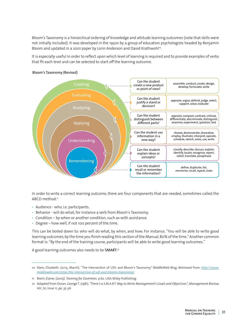Bloom's Taxonomy is a hierarchical ordering of knowledge and attitude learning outcomes (note that skills were not initially included). It was developed in the 1950s by a group of education psychologists headed by Benjamin Bloom and updated in a 2001 paper by Lorin Anderson and David Krathwohl<sup>10</sup>.

It is especially useful in order to reflect upon which level of learning is required and to provide examples of verbs that fit each level and can be selected to start off the learning outcome.



# Bloom's Taxonomy (Revised)

In order to write a correct learning outcome, there are four components that are needed, sometimes called the ABCD method:<sup>11</sup>

- Audience who, i.e. participants.
- Behavior will do what, for instance a verb from Bloom's Taxonomy.
- Condition by when or another condition, such as with assistance.
- Degree how well, if not 100 percent of the time.

This can be boiled down to: who will do what, by when, and how. For instance, "You will be able to write good learning outcomes, by the time you finish reading this section of the Manual, 80% of the time." Another common format is: "By the end of the training course, participants will be able to write good learning outcomes."

A good learning outcomes also needs to be SMART:<sup>12</sup>

<sup>10</sup> Stein, Elisabeth. (2015, March). "The Intersection of UDL and Bloom's Taxonomy" MiddleWeb Blog. Retrieved from: *[http://www.](http://www.middleweb.com/21295/the-intersection-of-udl-and-blooms-taxonomy/) [middleweb.com/21295/the-intersection-of-udl-and-blooms-taxonomy/](http://www.middleweb.com/21295/the-intersection-of-udl-and-blooms-taxonomy/)*

<sup>11</sup> Biech, Elaine. (2005). *Training for Dummies.* p.62. USA: Wiley Publishing.

<sup>12</sup> Adapted from Doran, George T. (1981). *"There's a S.M.A.R.T. Way to Write Management's Goals and Objectives", Management Review, Vol. 70, Issue 11, pp. 35-36*.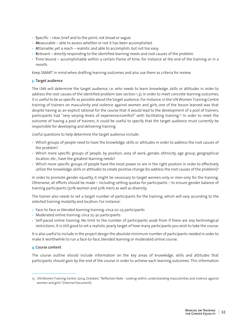- Specific clear, brief and to the point, not broad or vague.
- Measurable able to assess whether or not it has been accomplished.
- Attainable, yet a reach realistic and able to accomplish, but not too easy.
- Relevant directly responding to the identified learning needs and root causes of the problem.
- Time-bound accomplishable within a certain frame of time, for instance at the end of the training or in a month.

Keep SMART in mind when drafting learning outcomes and also use them as criteria for review.

# **3.** Target audience

The LNA will determine the target audience, i.e. who needs to learn knowledge, skills or attitudes in order to address the root causes of the identified problem (see section 1.3). In order to meet concrete learning outcomes, it is useful to be as specific as possible about the target audience. For instance, in the UN Women Training Centre training of trainers on masculinity and violence against women and girls, one of the lesson learned was that despite having as an explicit rational for the course that it would lead to the development of a pool of trainers, participants had "very varying levels of experience/comfort" with facilitating training.13 In order to meet the outcome of having a pool of trainers, it could be useful to specify that the target audience must currently be responsible for developing and delivering training.

Useful questions to help determine the target audience include:

- Which groups of people need to have the knowledge, skills or attitudes in order to address the root causes of the problem?
- Which more specific groups of people, by position, area of work, gender, ethnicity, age group, geographical location, etc., have the greatest learning needs?
- Which more specific groups of people have the most power or are in the right position in order to effectively utilize the knowledge, skills or attitudes to create positive change (to address the root causes of the problem)?

In order to promote gender equality, it might be necessary to target women-only or men-only for the training. Otherwise, all efforts should be made – including setting quotas for participants – to ensure gender balance of training participants (50% women and 50% men) as well as diversity.

The trainer also needs to set a target number of participants for the training, which will vary according to the selected training modality and location. For instance:

- Face-to-face or blended learning training: circa 20-25 participants
- Moderated online training: circa 25-30 participants
- Self-paced online training: No limit to the number of participants aside from if there are any technological restrictions. It is still good to set a realistic yearly target of how many participants you wish to take the course.

It is also useful to include in the project design the absolute minimum number of participants needed in order to make it worthwhile to run a face-to-face, blended learning or moderated online course.

# **4.** Course content

The course outline should include information on the key areas of knowledge, skills and attitudes that participants should gain by the end of the course in order to achieve each learning outcomes. This information

<sup>13</sup> UN Women Training Centre. (2014, October). "Reflection Note - Looking within: understanding masculinities and violence against women and girls" (Internal Document).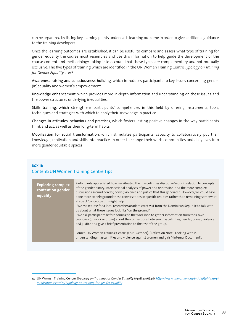can be organized by listing key learning points under each learning outcome in order to give additional guidance to the training developers.

Once the learning outcomes are established, it can be useful to compare and assess what type of training for gender equality the course most resembles and use this information to help guide the development of the course content and methodology, taking into account that these types are complementary and not mutually exclusive. The five types of training which are identified in the UN Women Training Centre *Typology on Training for Gender Equality* are:14

Awareness-raising and consciousness-building, which introduces participants to key issues concerning gender (in)equality and women's empowerment.

Knowledge enhancement, which provides more in-depth information and understanding on these issues and the power structures underlying inequalities.

Skills training, which strengthens participants' competencies in this field by offering instruments, tools, techniques and strategies with which to apply their knowledge in practice.

Changes in attitudes, behaviors and practices, which fosters lasting positive changes in the way participants think and act, as well as their long-term habits.

Mobilization for social transformation, which stimulates participants' capacity to collaboratively put their knowledge, motivation and skills into practice, in order to change their work, communities and daily lives into more gender equitable spaces.

# **BOX 11:**  Content: UN Women Training Centre Tips

| Source: UN Women Training Centre. (2014, October). "Reflection Note - Looking within:<br>understanding masculinities and violence against women and girls" (Internal Document). | <b>Exploring complex</b><br>content on gender<br>equality | Participants appreciated how we situated the masculinities discourse/work in relation to concepts<br>of the gender binary, intersectional analyses of power and oppression, and the more complex<br>discussions around gender, power, violence and justice that this generated. However, we could have<br>done more to help ground these conversations in specific realities rather than remaining somewhat<br>abstract/conceptual. It might help if:<br>- We make time for a local researcher/academic/activist from the Dominican Republic to talk with<br>us about what these issues look like "on the ground".<br>- We ask participants before coming to the workshop to gather information from their own<br>countries (of work or origin) about the connections between masculinities, gender, power, violence<br>and justice and give a brief presentation to the rest of the group. |
|---------------------------------------------------------------------------------------------------------------------------------------------------------------------------------|-----------------------------------------------------------|---------------------------------------------------------------------------------------------------------------------------------------------------------------------------------------------------------------------------------------------------------------------------------------------------------------------------------------------------------------------------------------------------------------------------------------------------------------------------------------------------------------------------------------------------------------------------------------------------------------------------------------------------------------------------------------------------------------------------------------------------------------------------------------------------------------------------------------------------------------------------------------------|
|---------------------------------------------------------------------------------------------------------------------------------------------------------------------------------|-----------------------------------------------------------|---------------------------------------------------------------------------------------------------------------------------------------------------------------------------------------------------------------------------------------------------------------------------------------------------------------------------------------------------------------------------------------------------------------------------------------------------------------------------------------------------------------------------------------------------------------------------------------------------------------------------------------------------------------------------------------------------------------------------------------------------------------------------------------------------------------------------------------------------------------------------------------------|

<sup>14</sup> UN Women Training Centre, *Typology on Training for Gender Equality* (April 2016), p6. *[http://www.unwomen.org/en/digital-library/](http://www.unwomen.org/en/digital-library/publications/2016/5/typology-on-training-for-gender-equality) [publications/2016/5/typology-on-training-for-gender-equality](http://www.unwomen.org/en/digital-library/publications/2016/5/typology-on-training-for-gender-equality)*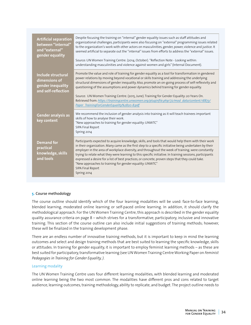| <b>Artificial separation</b><br>between "internal"<br>and "external"<br>gender equality | Despite focusing the training on "internal" gender equality issues such as staff attitudes and<br>organizational challenges, participants were also focusing on "external" programming issues related<br>to the organization's work with other actors on masculinities, gender, power, violence and justice. It<br>seemed artificial to separate out the "internal" issues from efforts to address the "external" issues.<br>Source: UN Women Training Centre. (2014, October). "Reflection Note - Looking within:<br>understanding masculinities and violence against women and girls" (Internal Document).                                       |
|-----------------------------------------------------------------------------------------|----------------------------------------------------------------------------------------------------------------------------------------------------------------------------------------------------------------------------------------------------------------------------------------------------------------------------------------------------------------------------------------------------------------------------------------------------------------------------------------------------------------------------------------------------------------------------------------------------------------------------------------------------|
| Include structural<br>dimensions of<br>gender inequality<br>and self-reflection         | Promote the value and role of training for gender equality as a tool for transformation in gendered<br>power relations by moving beyond vocational or skills training and addressing the underlying<br>structural dimensions of gender inequality. Also, promote an on-going process of self-reflexivity and<br>questioning of the assumptions and power dynamics behind training for gender equality.<br>Source: UN Women Training Centre. (2015, June). Training for Gender Equality: 20 Years On.<br>Retrieved from: https://trainingcentre.unwomen.org/pluginfile.php/72/mod_data/content/18873/<br>Paper TrainingForGenderEquality%2B20-B.pdf |
| Gender analysis as<br>key content                                                       | We recommend the inclusion of gender analysis into training as it will teach trainees important<br>skills of how to analyse their work.<br>"New approaches to training for gender equality: UNWTC"<br>SIPA Final Report<br>Spring 2014                                                                                                                                                                                                                                                                                                                                                                                                             |
| <b>Demand for</b><br>practical<br>knowledge, skills<br>and tools                        | Participants expected to acquire knowledge, skills, and tools that would help them with their work<br>in their organization. Many came as the first step to a specific initiative being undertaken by their<br>employer in the area of workplace diversity, and throughout the week of training, were constantly<br>trying to relate what they were learning to this specific initiative. In training sessions, participants<br>expressed a desire for a list of best practices, or concrete, proven steps that they could take.<br>"New approaches to training for gender equality: UNWTC"<br>SIPA Final Report<br>Spring 2014                    |

# **5.** Course methodology

The course outline should identify which of the four learning modalities will be used: face-to-face learning, blended learning, moderated online learning or self-paced online learning. In addition, it should clarify the methodological approach. For the UN Women Training Centre, this approach is described in the gender equality quality assurance criteria on page 8 – which strives for a transformative, participatory, inclusive and innovative training. This section of the course outline can also include initial suggestions of training methods; however, these will be finalized in the training development phase.

There are an endless number of innovative training methods, but it is important to keep in mind the learning outcomes and select and design training methods that are best suited to learning the specific knowledge, skills or attitudes. In training for gender equality, it is important to employ feminist learning methods – as these are best suited for participatory, transformative learning (see UN Women Training Centre Working Paper on *Feminist Pedagogies in Training for Gender Equality, )*.

# Learning modality

The UN Women Training Centre uses four different learning modalities, with blended learning and moderated online learning being the two most common. The modalities have different pros and cons related to target audience, learning outcomes, training methodology, ability to replicate, and budget. The project outline needs to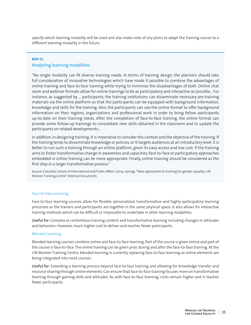specify which learning modality will be used and also make note of any plans to adapt the training course to a different learning modality in the future.

# **BOX 12:**  Analysing learning modalities

"No single modality can fit diverse training needs. In terms of training design, the planners should take full consideration of innovative technologies which have made it possible to combine the advantages of online training and face-to-face training while trying to minimize the disadvantages of both. Online chat room and webinar formats allow for online trainings to be as participatory and interactive as possible... For instance, as suggested by … participants, the training institutions can disseminate necessary pre-training materials via the online platform so that the participants can be equipped with background information, knowledge and skills for the training. Also, the participants can use the online format to offer background information on their regions, organizations and professional work in order to bring fellow participants up-to-date on their training needs. After the completion of face-to-face training, the online format can provide some follow-up trainings to consolidate new skills obtained in the classroom and to update the participants on related developments…

In addition, in designing training, it is imperative to consider the context and the objective of the training. If the training tends to disseminate knowledge or policies, or it targets audiences at an introductory level, it is better to run such a training through an online platform, given its easy access and low cost. If the training aims to foster transformative change in awareness and capacities, face-to-face or participatory approaches embedded in online training can be more appropriate. Finally, online training should be considered as the first step in a larger transformative process."

Source: Columbia School of International and Public Affairs. (2014, Spring). "New approaches to training for gender equality: UN Women Training Centre" (Internal Document).

#### Face-to-Face Learning

Face-to-face learning courses allow for flexible, personalized, transformative and highly participatory learning processes as the trainers and participants are together in the same physical space. It also allows for interactive training methods which can be difficult or impossible to undertake in other learning modalities.

Useful for: Complex or contentious training content and transformative learning including changes in attitudes and behaviors. However, much higher cost to deliver and reaches fewer participants.

#### Blended Learning

Blended learning courses combine online and face-to-face learning. Part of the course is given online and part of the course is face-to-face. The online training can be given prior, during and after the face-to-face training. At the UN Women Training Centre, blended learning is currently replacing face-to-face learning as online elements are being integrated into most courses.

Useful for: Extending a learning process beyond face-to-face training and allowing for knowledge transfer and resource sharing through online elements. Can ensure that face-to-face training focuses more on transformative learning through gaining skills and attitudes. As with face-to-face learning, costs remain higher and it reaches fewer participants.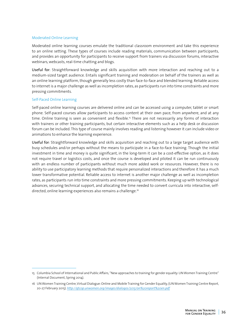### Moderated Online Learning

Moderated online learning courses emulate the traditional classroom environment and take this experience to an online setting. These types of courses include reading materials, communication between participants, and provides an opportunity for participants to receive support from trainers via discussion forums, interactive webinars, webcasts, real-time chatting and blogs.

Useful for: Straightforward knowledge and skills acquisition with more interaction and reaching out to a medium-sized target audience. Entails significant training and moderation on behalf of the trainers as well as an online learning platform, though generally less costly than face-to-face and blended learning. Reliable access to internet is a major challenge as well as incompletion rates, as participants run into time constraints and more pressing commitments.

#### Self-Paced Online Learning

Self-paced online learning courses are delivered online and can be accessed using a computer, tablet or smart phone. Self-paced courses allow participants to access content at their own pace, from anywhere, and at any time. Online training is seen as convenient and flexible.15 There are not necessarily any forms of interaction with trainers or other training participants, but certain interactive elements such as a help desk or discussion forum can be included. This type of course mainly involves reading and listening however it can include video or animations to enhance the learning experience.

Useful for: Straightforward knowledge and skills acquisition and reaching out to a large target audience with busy schedules and/or perhaps without the means to participate in a face-to-face training. Though the initial investment in time and money is quite significant, in the long-term it can be a cost-effective option, as it does not require travel or logistics costs, and once the course is developed and piloted it can be run continuously with an endless number of participants without much more added work or resources. However, there is no ability to use participatory learning methods that require personalized interactions and therefore it has a much lower transformative potential. Reliable access to internet is another major challenge as well as incompletion rates, as participants run into time constraints and more pressing commitments. Keeping up with technological advances, securing technical support, and allocating the time needed to convert curricula into interactive, selfdirected, online learning experiences also remains a challenge.16

<sup>15</sup> Columbia School of International and Public Affairs, "New approaches to training for gender equality: UN Women Training Centre" (Internal Document, Spring 2014).

<sup>16</sup> UN Women Training Centre, Virtual Dialogue: Online and Mobile Training for Gender Equality, (UN Women Training Centre Report, 20-27 February 2015). *<http://gtcop.unwomen.org/images/dialogos/2015/on%20report%20en.pdf>*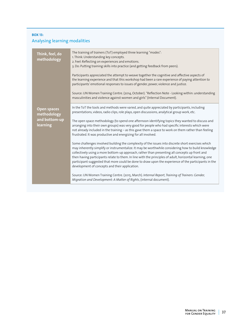## **BOX 13:**  Analysing learning modalities

| Think, feel, do<br>methodology                                 | The training of trainers (ToT) employed three learning "modes":<br>1. Think: Understanding key concepts.<br>2. Feel: Reflecting on experiences and emotions.<br>3. Do: Putting training skills into practice (and getting feedback from peers).<br>Participants appreciated the attempt to weave together the cognitive and affective aspects of<br>the learning experience and that this workshop had been a rare experience of paying attention to<br>participants' emotional responses to issues of gender, power, violence and justice.<br>Source: UN Women Training Centre. (2014, October). "Reflection Note - Looking within: understanding<br>masculinities and violence against women and girls" (Internal Document).                                                                                                                                                                                                                                                                                                                                                                                                                                                                                                                                                                                                                 |
|----------------------------------------------------------------|------------------------------------------------------------------------------------------------------------------------------------------------------------------------------------------------------------------------------------------------------------------------------------------------------------------------------------------------------------------------------------------------------------------------------------------------------------------------------------------------------------------------------------------------------------------------------------------------------------------------------------------------------------------------------------------------------------------------------------------------------------------------------------------------------------------------------------------------------------------------------------------------------------------------------------------------------------------------------------------------------------------------------------------------------------------------------------------------------------------------------------------------------------------------------------------------------------------------------------------------------------------------------------------------------------------------------------------------|
| <b>Open spaces</b><br>methodology<br>and bottom-up<br>learning | In the ToT the tools and methods were varied, and quite appreciated by participants, including<br>presentations, videos, radio clips, role plays, open discussions, analytical group work, etc.<br>The open space methodology (to spend one afternoon identifying topics they wanted to discuss and<br>arranging into their own groups) was very good for people who had specific interests which were<br>not already included in the training - as this gave them a space to work on them rather than feeling<br>frustrated. It was productive and energizing for all involved.<br>Some challenges involved building the complexity of the issues into discrete short exercises which<br>may inherently simplify or instrumentalize. It may be worthwhile considering how to build knowledge<br>collectively using a more bottom-up approach, rather than presenting all concepts up front and<br>then having participants relate to them. In line with the principles of adult, horizontal learning, one<br>participant suggested that more could be done to draw upon the experience of the participants in the<br>development of concepts and their application.<br>Source: UN Women Training Centre. (2015, March). Internal Report, Training of Trainers: Gender,<br>Migration and Development: A Matter of Rights, (internal document). |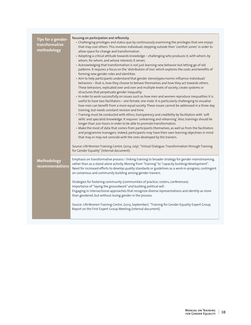| Tips for a gender-<br>transformative<br>methodology | focusing on participation and reflexivity.<br>• Challenging privileges and status quo by continuously examining the privileges that one enjoys<br>that may cost others. This involves individuals stepping outside their 'comfort zones' in order to<br>allow space for change and transformation.<br>• Adopting a critical attitude towards knowledge - challenging who produces it, with whom, by<br>whom, for whom, and whose interests it serves.<br>• Acknowledging that transformation is not just learning new behavior but letting go of old<br>patterns. It requires a focus on the 'distribution of loss' which explores the costs and benefits of<br>forming new gender roles and identities.<br>· Aim to help participants understand that gender stereotypes/norms influence individuals'<br>behaviors - that is, how they choose to behave themselves and how they act towards others.<br>These behaviors, replicated over and over and multiple levels of society, create systems or<br>structures that perpetuate gender inequality.<br>. In order to work successfully on issues such as how men and women reproduce inequalities it is<br>useful to have two facilitators - one female, one male. It is particularly challenging to visualize<br>how men can benefit from a more equal society. These issues cannot be addressed in a three-day<br>training, but needs constant revision and time.<br>· Training must be conducted with ethics, transparency and credibility by facilitators with 'soft<br>skills' and specialist knowledge. It requires 'unlearning and relearning'. Also, trainings should be<br>longer than 200 hours in order to be able to promote transformation.<br>• Make the most of data that comes from participants themselves, as well as from the facilitators<br>and programme managers. Indeed, participants may have their own learning objectives in mind<br>that may or may not coincide with the ones developed by the trainers.<br>Source: UN Women Training Centre. (2014, July). "Virtual Dialogue: Transformation through Training |
|-----------------------------------------------------|----------------------------------------------------------------------------------------------------------------------------------------------------------------------------------------------------------------------------------------------------------------------------------------------------------------------------------------------------------------------------------------------------------------------------------------------------------------------------------------------------------------------------------------------------------------------------------------------------------------------------------------------------------------------------------------------------------------------------------------------------------------------------------------------------------------------------------------------------------------------------------------------------------------------------------------------------------------------------------------------------------------------------------------------------------------------------------------------------------------------------------------------------------------------------------------------------------------------------------------------------------------------------------------------------------------------------------------------------------------------------------------------------------------------------------------------------------------------------------------------------------------------------------------------------------------------------------------------------------------------------------------------------------------------------------------------------------------------------------------------------------------------------------------------------------------------------------------------------------------------------------------------------------------------------------------------------------------------------------------------------------------------------------------------------------------------------------------------|
|                                                     | for Gender Equality" (internal document).                                                                                                                                                                                                                                                                                                                                                                                                                                                                                                                                                                                                                                                                                                                                                                                                                                                                                                                                                                                                                                                                                                                                                                                                                                                                                                                                                                                                                                                                                                                                                                                                                                                                                                                                                                                                                                                                                                                                                                                                                                                    |
| Methodology<br>recommendations                      | Emphasis on transformative process / linking training to broader strategy for gender mainstreaming,<br>rather than as a stand-alone activity. Moving from "training" to "capacity building/development".<br>Need for increased efforts to develop quality standards or guidelines as a work-in-progress, contingent<br>on consensus and community building among gender trainers.<br>Strategies for fostering community (communities of practice, rosters, conferences).<br>Importance of "laying the groundwork" and building political will.<br>Engaging in intersectional approaches that recognize diverse representations and identity as more<br>than gendered, but without losing gender in the process.<br>Source: UN Women Training Centre. (2013, September). "Training for Gender Equality Expert Group<br>Report on the First Expert Group Meeting (internal document).                                                                                                                                                                                                                                                                                                                                                                                                                                                                                                                                                                                                                                                                                                                                                                                                                                                                                                                                                                                                                                                                                                                                                                                                          |
|                                                     |                                                                                                                                                                                                                                                                                                                                                                                                                                                                                                                                                                                                                                                                                                                                                                                                                                                                                                                                                                                                                                                                                                                                                                                                                                                                                                                                                                                                                                                                                                                                                                                                                                                                                                                                                                                                                                                                                                                                                                                                                                                                                              |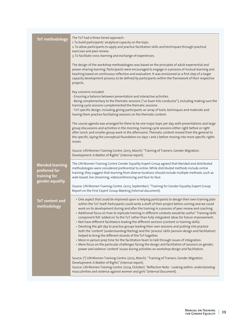| <b>ToT</b> methodology                                                      | The ToT had a three-tiered approach:<br>1. To build participants' analytical capacity on the topic.<br>2. To allow participants to apply and practice facilitation skills and techniques through practical<br>exercises and peer-review.<br>3. To facilitate cross-learning and exchange of experiences.<br>The design of the workshop methodologies was based on the principles of adult experiential and<br>power-sharing learning. Participants were encouraged to engage in a process of mutual learning and<br>teaching based on continuous reflection and evaluation. It was envisioned as a first step of a larger<br>capacity development process, to be defined by participants within the framework of their respective<br>projects.<br>Key concerns included:<br>- Ensuring a balance between presentation and interactive activities.<br>- Being complementary to the thematic sessions ("un buen hilo conductor"), including making sure the<br>training cycle sessions complemented the thematic sessions.<br>- ToT-specific design, including giving participants an array of tools, techniques and materials and<br>having them practice facilitating sessions on the thematic content.<br>The course agenda was arranged for there to be one major topic per day, with presentations and large<br>group discussions and activities in the morning, training cycle sessions either right before or right<br>after lunch, and smaller group work in the afternoons. Thematic content moved from the general to<br>the specific, laying the conceptual foundation on days 1 and 2 before moving into more specific rights<br>issues.<br>Source: UN Women Training Centre. (2015, March). "Training of Trainers: Gender Migration, |
|-----------------------------------------------------------------------------|-------------------------------------------------------------------------------------------------------------------------------------------------------------------------------------------------------------------------------------------------------------------------------------------------------------------------------------------------------------------------------------------------------------------------------------------------------------------------------------------------------------------------------------------------------------------------------------------------------------------------------------------------------------------------------------------------------------------------------------------------------------------------------------------------------------------------------------------------------------------------------------------------------------------------------------------------------------------------------------------------------------------------------------------------------------------------------------------------------------------------------------------------------------------------------------------------------------------------------------------------------------------------------------------------------------------------------------------------------------------------------------------------------------------------------------------------------------------------------------------------------------------------------------------------------------------------------------------------------------------------------------------------------------------------------------------------------------------------------------------------|
| <b>Blended learning</b><br>preferred for<br>training for<br>gender equality | Development: A Matter of Rights" (internal report).<br>The UN Women Training Centre Gender Equality Expert Group agreed that blended and distributed<br>methodologies were considered preferential to online. While distributed methods include online<br>training, they suggest that learning from diverse locations should include multiple methods, such as<br>web-based, live streaming, videoconferencing and face-to-face.<br>Source: UN Women Training Centre. (2013, September). "Training for Gender Equality Expert Group<br>Report on the First Expert Group Meeting (internal document).                                                                                                                                                                                                                                                                                                                                                                                                                                                                                                                                                                                                                                                                                                                                                                                                                                                                                                                                                                                                                                                                                                                                            |
| <b>ToT</b> content and<br>methodology                                       | • One aspect that could be improved upon is helping participants to design their own training plan<br>within the ToT itself. Participants could write a draft of their project before coming and we could<br>work on its development during and after the training in a process of peer review and coaching.<br>· Additional focus on how to replicate training in different contexts would be useful.* Training skills<br>component felt 'added on' to the ToT rather than fully integrated. Ideas for future improvement:<br>• Not have different facilitators leading the different sections (content vs training skills).<br>• Devoting the 4th day to practice groups leading their own sessions and putting into practice<br>both the 'content' (understanding/feeling) and the 'process' skills (session design and facilitation)<br>helped to bring the different strands of the ToT together.<br>• More in-person prep time for the facilitation team to talk through issues of integration.<br>• More focus on the particular challenges facing the design and facilitation of sessions on gender,<br>power and violence 'content' issues during activities on workshop design and facilitation.<br>Source: (*) UN Women Training Centre. (2015, March). "Training of Trainers: Gender Migration,<br>Development: A Matter of Rights" (internal report).<br>Source: UN Women Training Centre. (2014, October). "Reflection Note - Looking within: understanding<br>masculinities and violence against women and girls" (Internal Document).                                                                                                                                                                                           |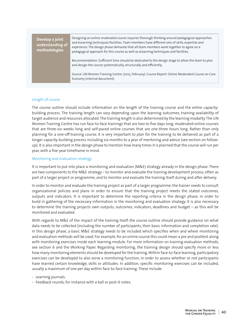#### **Develop a joint understanding of methodologies**

Designing an online moderated course requires thorough thinking around pedagogical approaches and eLearning techniques/facilities. Team members have different sets of skills, expertise and experience. The design phase demands that all team members work together to agree on a pedagogical approach for this course as well as eLearning techniques and facilities.

Recommendation: Sufficient time should be dedicated to the design stage to allow the team to plan and design the course systematically, structurally and efficiently.

Source: UN Women Training Centre. (2015, February). Course Report: Online Moderated Course on Care Economy (internal document).

#### Length of course

The course outline should include information on the length of the training course and the entire capacitybuilding process. The training length can vary depending upon the learning outcomes, training availability of target audience and resources allocated. The training length is also determined by the learning modality. The UN Women Training Centre has run face-to-face trainings that are two to five days long, moderated online courses that are three-six weeks long and self-paced online courses that are one-three hours long. Rather than only planning for a one-off-training course, it is very important to plan for the training to be delivered as part of a longer capacity-building process including six-months to a year of mentoring and advice (see section on followup). It is also important in the design phase to mention how many times it is planned that the course will run per year, with a five-year timeframe in mind.

#### Monitoring and evaluation strategy

It is important to put into place a monitoring and evaluation (M&E) strategy already in the design phase. There are two components to the M&E strategy – to monitor and evaluate the training development process, often as part of a larger project or programme, and to monitor and evaluate the training itself during and after delivery.

In order to monitor and evaluate the training project as part of a larger programme, the trainer needs to consult organizational policies and plans in order to ensure that the training project meets the stated outcomes, outputs and indicators. It is important to determine the reporting criteria in the design phase, in order to build in gathering of the necessary information in the monitoring and evaluation strategy. It is also necessary to determine the training projects own outputs, outcomes, indicators, deadlines and budget – as this will be monitored and evaluated.

With regards to M&E of the impact of the training itself, the course outline should provide guidance on what data needs to be collected (including the number of participants, their basic information and completion rate). In this design phase, a basic M&E strategy needs to be included which specifies when and where monitoring and evaluation methods will be used. For example, for an online course this could mean a pre and posttest along with monitoring exercises inside each learning module. For more information on training evaluation methods, see section 6 and the Working Paper. Regarding monitoring, the training design should specify more or less how many monitoring elements should be developed for the training. Within face-to-face learning, participatory exercises can be developed to also serve a monitoring function, in order to assess whether or not participants have learned certain knowledge, skills or attitudes. In addition, specific monitoring exercises can be included, usually a maximum of one per day within face-to-face training. These include:

- Learning journals.
- Feedback rounds, for instance with a ball or post-it notes.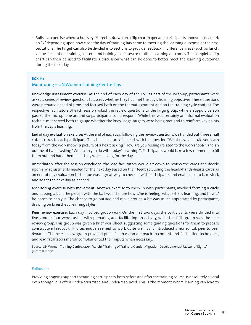• Bulls eye exercise where a bull's eye/target is drawn on a flip chart paper and participants anonymously mark an "x" depending upon how close the day of training has come to meeting the learning outcome or their expectations. The target can also be divided into sections to provide feedback in difference areas (such as lunch, venue, facilitation, training content and training exercises) or multiple learning outcomes. The completed flip chart can then be used to facilitate a discussion what can be done to better meet the learning outcomes during the next day.

#### **BOX 14:**

## Monitoring – UN Women Training Centre Tips

Knowledge assessment exercise: At the end of each day of the ToT, as part of the wrap-up, participants were asked a series of review questions to assess whether they had met the day's learning objectives. These questions were prepared ahead of time, and focused both on the thematic content and on the training cycle content. The respective facilitators of each session asked the review questions to the large group, while a support person passed the microphone around so participants could respond. While this was certainly an informal evaluation technique, it served both to gauge whether the knowledge targets were being met and to reinforce key points from the day's learning.

End of day evaluation exercise: At the end of each day, following the review questions, we handed out three small cutout cards to each participant. They had a picture of a head, with the question "What new ideas did you learn today from the workshop?", a picture of a heart asking "How are you feeling (related to the workshop)?", and an outline of hands asking "What can you do with today's learning?". Participants would take a few moments to fill them out and hand them in as they were leaving for the day.

Immediately after the session concluded, the lead facilitators would sit down to review the cards and decide upon any adjustments needed for the next day based on their feedback. Using the heads-hands-hearts cards as an end-of-day evaluation technique was a great way to check in with participants and enabled us to take stock and adapt the next day as needed.

Monitoring exercise with movement: Another exercise to check in with participants, involved forming a circle and passing a ball. The person with the ball would share how s/he is feeling, what s/he is learning, and how s/ he hopes to apply it. The chance to go outside and move around a bit was much appreciated by participants, drawing on kinesthetic learning styles.

Peer review exercise: Each day involved group work. On the first two days, the participants were divided into five groups: four were tasked with preparing and facilitating an activity, while the fifth group was the peer review group. This group was given a brief worksheet suggesting some guiding questions for them to prepare constructive feedback. This technique seemed to work quite well, as it introduced a horizontal, peer-to-peer dynamic. The peer review group provided great feedback on approach to content and facilitation techniques, and lead facilitators merely complemented their inputs when necessary.

Source: UN Women Training Centre. (2015, March). "Training of Trainers: Gender Migration, Development: A Matter of Rights" (internal report).

#### Follow-up

Providing ongoing support to training participants, both before and after the training course, is absolutely pivotal even though it is often under-prioritized and under-resourced. This is the moment where learning can lead to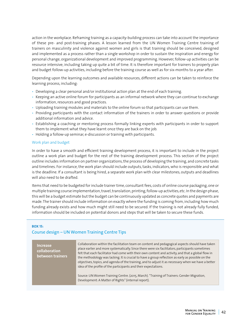action in the workplace. Reframing training as a capacity-building process can take into account the importance of these pre- and post-training phases. A lesson learned from the UN Women Training Centre training of trainers on masculinity and violence against women and girls is that training should be conceived, designed and implemented as a process rather than a single workshop in order to sustain the inspiration and energy for personal change, organizational development and improved programming. However, follow-up activities can be resource intensive, including taking up quite a bit of time. It is therefore important for trainers to properly plan and budget follow-up activities, including before the training course as well as for six-months to a year after.

Depending upon the learning outcomes and available resources, different actions can be taken to reinforce the learning process, including:

- Developing a clear personal and/or institutional action plan at the end of each training.
- Keeping an active online forum for participants as an informal network where they can continue to exchange information, resources and good practices.
- Uploading training modules and materials to the online forum so that participants can use them.
- Providing participants with the contact information of the trainers in order to answer questions or provide additional information and advice.
- Establishing a coaching or mentoring process formally linking experts with participants in order to support them to implement what they have learnt once they are back on the job.
- Holding a follow-up seminar, e-discussion or training with participants.

#### Work plan and budget

In order to have a smooth and efficient training development process, it is important to include in the project outline a work plan and budget for the rest of the training development process. This section of the project outline includes information on partner organizations, the process of developing the training, and concrete tasks and timelines. For instance, the work plan should include outputs, tasks, indicators, who is responsible and what is the deadline. If a consultant is being hired, a separate work plan with clear milestones, outputs and deadlines will also need to be drafted.

Items that need to be budgeted for include trainer time, consultant fees, costs of online course packaging, one or multiple training course implementation, travel, translation, printing, follow-up activities, etc. In the design phase, this will be a budget estimate but the budget can be continuously updated as concrete quotes and payments are made. The trainer should include information on exactly where the funding is coming from, including how much funding already exists and how much might still need to be secured. If the training is not already fully funded, information should be included on potential donors and steps that will be taken to secure these funds.

#### **BOX 15:**

#### Course design – UN Women Training Centre Tips

| <b>Increase</b><br>collaboration<br>between trainers | Collaboration within the facilitation team on content and pedagogical aspects should have taken<br>place earlier and more systematically. Since there were six facilitators, participants sometimes<br>felt that each facilitator had come with their own content and activity, and that a global flow in<br>the methodology was lacking. It is crucial to have a group reflection as early as possible on the<br>objectives, topics, and agenda of the training, and to adjust it as necessary when we have a better<br>idea of the profile of the participants and their expectations.<br>Source: UN Women Training Centre. (2015, March). "Training of Trainers: Gender Migration,<br>Development: A Matter of Rights" (internal report). |
|------------------------------------------------------|----------------------------------------------------------------------------------------------------------------------------------------------------------------------------------------------------------------------------------------------------------------------------------------------------------------------------------------------------------------------------------------------------------------------------------------------------------------------------------------------------------------------------------------------------------------------------------------------------------------------------------------------------------------------------------------------------------------------------------------------|
|                                                      |                                                                                                                                                                                                                                                                                                                                                                                                                                                                                                                                                                                                                                                                                                                                              |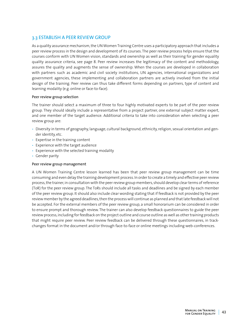## 3.3 ESTABLISH A PEER REVIEW GROUP

As a quality assurance mechanism, the UN Women Training Centre uses a participatory approach that includes a peer review process in the design and development of its courses. The peer review process helps ensure that the courses conform with UN Women vision, standards and ownership as well as their training for gender equality quality assurance criteria, see page 8. Peer review increases the legitimacy of the content and methodology, assures the quality and augments the sense of ownership. When the courses are developed in collaboration with partners such as academic and civil society institutions, UN agencies, international organizations and government agencies, these implementing and collaboration partners are actively involved from the initial design of the training. Peer review can thus take different forms depending on partners, type of content and learning modality (e.g. online or face-to-face).

#### Peer review group selection

The trainer should select a maximum of three to four highly motivated experts to be part of the peer review group. They should ideally include a representative from a project partner, one external subject matter expert, and one member of the target audience. Additional criteria to take into consideration when selecting a peer review group are:

- Diversity in terms of geography, language, cultural background, ethnicity, religion, sexual orientation and gender identity, etc.
- Expertise in the training content
- Experience with the target audience
- Experience with the selected training modality
- Gender parity

#### Peer review group management

A UN Women Training Centre lesson learned has been that peer review group management can be time consuming and even delay the training development process. In order to create a timely and effective peer review process, the trainer, in consultation with the peer review group members, should develop clear terms of reference (ToR) for the peer review group. The ToRs should include all tasks and deadlines and be signed by each member of the peer review group. It should also include clear wording stating that if feedback is not provided by the peer review member by the agreed deadlines, then the process will continue as planned and that late feedback will not be accepted. For the external members of the peer review group, a small honorarium can be considered in order to ensure prompt and thorough review. The trainer can also develop feedback questionnaires to guide the peer review process, including for feedback on the project outline and course outline as well as other training products that might require peer review. Peer review feedback can be delivered through these questionnaires, in trackchanges format in the document and/or through face-to-face or online meetings including web-conferences.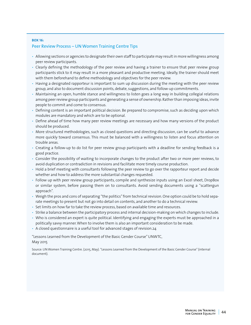#### **BOX 16:**  Peer Review Process – UN Women Training Centre Tips

- Allowing sections or agencies to designate their own staff to participate may result in more willingness among peer review participants.
- Clearly defining the methodology of the peer review and having a trainer to ensure that peer review group participants stick to it may result in a more pleasant and productive meeting. Ideally, the trainer should meet with them beforehand to define methodology and objectives for the peer review.
- Having a designated rapporteur is important to sum up discussion during the meeting with the peer review group, and also to document discussion points, debate, suggestions, and follow-up commitments.
- Maintaining an open, humble stance and willingness to listen goes a long way in building collegial relations among peer review group participants and generating a sense of ownership. Rather than imposing ideas, invite people to commit and come to consensus.
- Defining content is an important political decision. Be prepared to compromise, such as deciding upon which modules are mandatory and which are to be optional.
- Define ahead of time how many peer review meetings are necessary and how many versions of the product should be produced.
- More structured methodologies, such as closed questions and directing discussion, can be useful to advance more quickly toward consensus. This must be balanced with a willingness to listen and focus attention on trouble areas.
- Creating a follow-up to do list for peer review group participants with a deadline for sending feedback is a good practice.
- Consider the possibility of waiting to incorporate changes to the product after two or more peer reviews, to avoid duplication or contradiction in revisions and facilitate more timely course production.
- Hold a brief meeting with consultants following the peer review to go over the rapporteur report and decide whether and how to address the more substantial changes requested.
- Follow up with peer review group participants, compile and synthesize inputs using an Excel sheet, DropBox or similar system, before passing them on to consultants. Avoid sending documents using a "scattergun approach".
- Weigh the pros and cons of separating "the politics" from technical revision. One option could be to hold separate meetings to present but not go into detail on contents, and another to do a technical review.
- Set limits on how far to take the review process, based on available time and resources.
- Strike a balance between the participatory process and internal decision-making on which changes to include.
- Who is considered an expert is quite political. Identifying and engaging the experts must be approached in a politically savvy manner. When to involve them is also an important consideration to be made.
- A closed questionnaire is a useful tool for advanced stages of revision.24

"Lessons Learned from the Development of the Basic Gender Course" UNWTC,

#### May 2015

Source: UN Women Training Centre. (2015, May). "Lessons Learned from the Development of the Basic Gender Course" (internal document).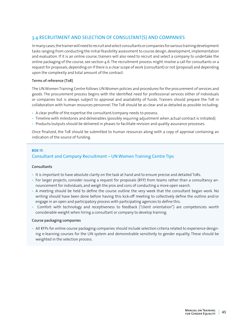## 3.4 RECRUITMENT AND SELECTION OF CONSULTANT(S) AND COMPANIES

In many cases, the trainer will need to recruit and select consultants or companies for various training development tasks ranging from conducting the initial feasibility assessment to course design, development, implementation and evaluation. If it is an online course, trainers will also need to recruit and select a company to undertake the online packaging of the course, see section 4.6. The recruitment process might involve a call for consultants or a request for proposals, depending on if there is a clear scope of work (consultant) or not (proposal) and depending upon the complexity and total amount of the contract.

#### Terms of reference (ToR)

The UN Women Training Centre follows UN Women policies and procedures for the procurement of services and goods. The procurement process begins with the identified need for professional services either of individuals or companies but is always subject to approval and availability of funds. Trainers should prepare the ToR in collaboration with human resources personnel. The ToR should be as clear and as detailed as possible including:

- A clear profile of the expertise the consultant/company needs to possess.
- Timeline with milestones and deliverables (possibly requiring adjustment when actual contract is initiated).
- Products/outputs should be delivered in phases to facilitate revision and quality assurance processes.

Once finalized, the ToR should be submitted to human resources along with a copy of approval containing an indication of the source of funding.

#### **BOX 17:**

## Consultant and Company Recruitment – UN Women Training Centre Tips

#### **Consultants**

- It is important to have absolute clarity on the task at hand and to ensure precise and detailed ToRs.
- For larger projects, consider issuing a request for proposals (RFP) from teams rather than a consultancy announcement for individuals, and weigh the pros and cons of conducting a more open search.
- A meeting should be held to define the course outline the very week that the consultant began work. No writing should have been done before having this kick-off meeting to collectively define the outline and/or engage in an open and participatory process with participating agencies to define this.
- Comfort with technology and receptiveness to feedback ("client orientation") are competencies worth considerable weight when hiring a consultant or company to develop training.

#### Course packaging companies

• All RFPs for online course packaging companies should include selection criteria related to experience designing e-learning courses for the UN system and demonstrable sensitivity to gender equality. These should be weighted in the selection process.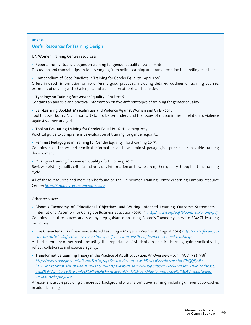## **BOX 18:**  Useful Resources for Training Design

UN Women Training Centre resources:

• Reports from virtual dialogues on training for gender equality – 2012 - 2016

Discussion and concrete tips on topics ranging from online learning and transformation to handling resistance.

• Compendium of Good Practices in Training for Gender Equality - April 2016

Offers in-depth information on 10 different good practices, including detailed outlines of training courses, examples of dealing with challenges, and a collection of tools and activities.

• Typology on Training for Gender Equality - April 2016

Contains an analysis and practical information on five different types of training for gender equality.

- Self-Learning Booklet: Masculinities and Violence Against Women and Girls 2016 Tool to assist both UN and non-UN staff to better understand the issues of masculinities in relation to violence against women and girls.
- Tool on Evaluating Training for Gender Equality forthcoming 2017

Practical guide to comprehensive evaluation of training for gender equality.

• Feminist Pedagogies in Training for Gender Equality - forthcoming 2017\

Contains both theory and practical information on how feminist pedagogical principles can guide training development.

• Quality in Training for Gender Equality - forthcoming 2017

Reviews existing quality criteria and provides information on how to strengthen quality throughout the training cycle.

All of these resources and more can be found on the UN Women Training Centre eLearning Campus Resource Centre: *<https://trainingcentre.unwomen.org>*

#### Other resources:

• Bloom's Taxonomy of Educational Objectives and Writing Intended Learning Outcome Statements – International Assembly for Collegiate Business Education (2015-15) *<http://iacbe.org/pdf/blooms-taxonomy.pdf>* Contains useful resources and step-by-step guidance on using Bloom's Taxonomy to write SMART learning outcomes.

• Five Characteristics of Learner-Centered Teaching – Maryellen Weimer (8 August 2012) *[http://www.facultyfo](http://www.facultyfocus.com/articles/effective-teaching-strategies/five-characteristics-of-learner-centered-teaching/)[cus.com/articles/effective-teaching-strategies/five-characteristics-of-learner-centered-teaching/](http://www.facultyfocus.com/articles/effective-teaching-strategies/five-characteristics-of-learner-centered-teaching/)*

A short summary of her book, including the importance of students to practice learning, gain practical skills, reflect, collaborate and exercise agency.

• Transformative Learning Theory in the Practice of Adult Education: An Overview – John M. Dirks (1998) *[https://www.google.com/url?sa=t&rct=j&q=&esrc=s&source=web&cd=16&sqi=2&ved=0CHQQFjAPa](https://www.google.com/url?sa=t&rct=j&q=&esrc=s&source=web&cd=16&sqi=2&ved=0CHQQFjAPahUKEwi1wtrwqpzIAhUBVRoKHQBsA2g&url=https%3A%2F%2Fwww.iup.edu%2FWorkArea%2FDownloadAsset.aspx%3Fid%3D18335&usg=AFQjCNEVB2BOe4AI-xEPznNxoJyOMgyodA&sig2=pJrve82NQJMj2WlUqadGIg&bvm=bv.103627116,d.d2s)[hUKEwi1wtrwqpzIAhUBVRoKHQBsA2g&url=https%3A%2F%2Fwww.iup.edu%2FWorkArea%2FDownloadAsset.](https://www.google.com/url?sa=t&rct=j&q=&esrc=s&source=web&cd=16&sqi=2&ved=0CHQQFjAPahUKEwi1wtrwqpzIAhUBVRoKHQBsA2g&url=https%3A%2F%2Fwww.iup.edu%2FWorkArea%2FDownloadAsset.aspx%3Fid%3D18335&usg=AFQjCNEVB2BOe4AI-xEPznNxoJyOMgyodA&sig2=pJrve82NQJMj2WlUqadGIg&bvm=bv.103627116,d.d2s) [aspx%3Fid%3D18335&usg=AFQjCNEVB2BOe4AI-xEPznNxoJyOMgyodA&sig2=pJrve82NQJMj2WlUqadGIg&b](https://www.google.com/url?sa=t&rct=j&q=&esrc=s&source=web&cd=16&sqi=2&ved=0CHQQFjAPahUKEwi1wtrwqpzIAhUBVRoKHQBsA2g&url=https%3A%2F%2Fwww.iup.edu%2FWorkArea%2FDownloadAsset.aspx%3Fid%3D18335&usg=AFQjCNEVB2BOe4AI-xEPznNxoJyOMgyodA&sig2=pJrve82NQJMj2WlUqadGIg&bvm=bv.103627116,d.d2s)[vm=bv.103627116,d.d2s](https://www.google.com/url?sa=t&rct=j&q=&esrc=s&source=web&cd=16&sqi=2&ved=0CHQQFjAPahUKEwi1wtrwqpzIAhUBVRoKHQBsA2g&url=https%3A%2F%2Fwww.iup.edu%2FWorkArea%2FDownloadAsset.aspx%3Fid%3D18335&usg=AFQjCNEVB2BOe4AI-xEPznNxoJyOMgyodA&sig2=pJrve82NQJMj2WlUqadGIg&bvm=bv.103627116,d.d2s)*

An excellent article providing a theoretical background of transformative learning, including different approaches in adult learning.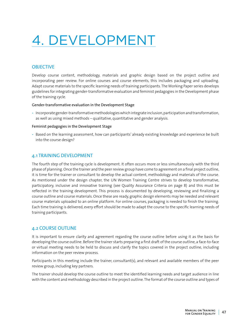# 4. DEVELOPMENT

## **OBJECTIVE**

Develop course content, methodology, materials and graphic design based on the project outline and incorporating peer review. For online courses and course elements, this includes packaging and uploading. Adapt course materials to the specific learning needs of training participants. The Working Paper series develops guidelines for integrating gender-transformative evaluation and feminist pedagogies in the Development phase of the training cycle.

#### Gender-transformative evaluation in the Development Stage

• Incorporate gender-transformative methodologies which integrate inclusion, participation and transformation, as well as using mixed methods – qualitative, quantitative and gender analysis.

#### Feminist pedagogies in the Development Stage

• Based on the learning assessment, how can participants' already existing knowledge and experience be built into the course design?

## 4.1 TRAINING DEVELOPMENT

The fourth step of the training cycle is development. It often occurs more or less simultaneously with the third phase of planning. Once the trainer and the peer review group have come to agreement on a final project outline, it is time for the trainer or consultant to develop the actual content, methodology and materials of the course. As mentioned under the design chapter, the UN Women Training Centre strives to develop transformative, participatory, inclusive and innovative training (see Quality Assurance Criteria on page 8) and this must be reflected in the training development. This process is documented by developing, reviewing and finalizing a course outline and course materials. Once these are ready, graphic design elements may be needed and relevant course materials uploaded to an online platform. For online courses, packaging is needed to finish the training. Each time training is delivered, every effort should be made to adapt the course to the specific learning needs of training participants.

## 4.2 COURSE OUTLINE

It is important to ensure clarity and agreement regarding the course outline before using it as the basis for developing the course outline. Before the trainer starts preparing a first draft of the course outline, a face-to-face or virtual meeting needs to be held to discuss and clarify the topics covered in the project outline, including information on the peer review process.

Participants in this meeting include the trainer, consultant(s), and relevant and available members of the peer review group, including key partners.

The trainer should develop the course outline to meet the identified learning needs and target audience in line with the content and methodology described in the project outline. The format of the course outline and types of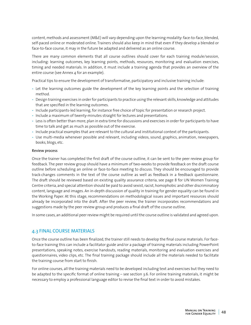content, methods and assessment (M&E) will vary depending upon the learning modality: face-to-face, blended, self-paced online or moderated online. Trainers should also keep in mind that even if they develop a blended or face-to-face course, it may in the future be adapted and delivered as an online course.

There are many common elements that all course outlines should cover for each training module/session, including: learning outcomes, key learning points, methods, resources, monitoring and evaluation exercises, timing and needed materials. In addition, it must include a training agenda that provides an overview of the entire course (see Annex 4 for an example).

Practical tips to ensure the development of transformative, participatory and inclusive training include:

- Let the learning outcomes guide the development of the key learning points and the selection of training method.
- Design training exercises in order for participants to practice using the relevant skills, knowledge and attitudes that are specified in the learning outcomes.
- Include participants-led learning, for instance free choice of topic for presentation or research project.
- Include a maximum of twenty-minutes straight for lectures and presentations.
- Less is often better than more, plan in extra time for discussions and exercises in order for participants to have time to talk and get as much as possible out of the exercise.
- Include practical examples that are relevant to the cultural and institutional context of the participants.
- Use multi-media whenever possible and relevant, including videos, sound, graphics, animation, newspapers, books, blogs, etc.

#### Review process

Once the trainer has completed the first draft of the course outline, it can be sent to the peer review group for feedback. The peer review group should have a minimum of two-weeks to provide feedback on the draft course outline before scheduling an online or face-to-face meeting to discuss. They should be encouraged to provide track-changes comments in the text of the course outline as well as feedback in a feedback questionnaire. The draft should be reviewed based on existing quality assurance criteria, see page 8 for UN Women Training Centre criteria, and special attention should be paid to avoid sexist, racist, homophobic and other discriminatory content, language and images. An in-depth discussion of quality in training for gender equality can be found in the Working Paper. At this stage, recommendations on methodological issues and important resources should already be incorporated into the draft. After the peer review, the trainer incorporates recommendations and suggestions made by the peer review group and produces a final draft of the course outline.

In some cases, an additional peer review might be required until the course outline is validated and agreed upon.

#### 4.3 FINAL COURSE MATERIALS

Once the course outline has been finalized, the trainer still needs to develop the final course materials. For faceto-face training this can include a facilitator guide and/or a package of training materials including PowerPoint presentations, speaking notes, exercise handouts, reading materials, monitoring and evaluation exercises and questionnaires, video clips, etc. The final training package should include all the materials needed to facilitate the training course from start to finish.

For online courses, all the training materials need to be developed including text and exercises but they need to be adapted to the specific format of online training – see section 3.6. For online training materials, it might be necessary to employ a professional language editor to revise the final text in order to avoid mistakes.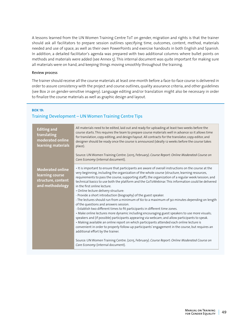A lessons learned from the UN Women Training Centre ToT on gender, migration and rights is that the trainer should ask all facilitators to prepare session outlines specifying time, outcomes, content, method, materials needed and use of space, as well as their own PowerPoints and exercise handouts in both English and Spanish. In addition, a detailed facilitator's agenda was prepared with two additional columns where bullet points on methods and materials were added (see Annex 5). This internal document was quite important for making sure all materials were on hand, and keeping things moving smoothly throughout the training.

#### Review process

The trainer should receive all the course materials at least one-month before a face-to-face course is delivered in order to assure consistency with the project and course outlines, quality assurance criteria, and other guidelines (see Box 21 on gender-sensitive imagery). Language editing and/or translation might also be necessary in order to finalize the course materials as well as graphic design and layout.

#### **BOX 19:**

## Training Development – UN Women Training Centre Tips

| <b>Editing and</b><br>translating<br>moderated online<br>learning materials         | All materials need to be edited, laid out and ready for uploading at least two weeks before the<br>course starts. This requires the team to prepare course materials well in advance so it allows time<br>for translation, copy-editing, and design/layout. All contracts for the translator, copy-editor, and<br>designer should be ready once the course is announced (ideally 12 weeks before the course takes<br>place).<br>Source: UN Women Training Centre. (2015, February). Course Report: Online Moderated Course on<br>Care Economy (internal document).                                                                                                                                                                                                                                                                                                                                                                                                                                                                                                                                                                                                                                                                                                                                                                   |  |  |
|-------------------------------------------------------------------------------------|--------------------------------------------------------------------------------------------------------------------------------------------------------------------------------------------------------------------------------------------------------------------------------------------------------------------------------------------------------------------------------------------------------------------------------------------------------------------------------------------------------------------------------------------------------------------------------------------------------------------------------------------------------------------------------------------------------------------------------------------------------------------------------------------------------------------------------------------------------------------------------------------------------------------------------------------------------------------------------------------------------------------------------------------------------------------------------------------------------------------------------------------------------------------------------------------------------------------------------------------------------------------------------------------------------------------------------------|--|--|
| <b>Moderated online</b><br>learning course<br>structure, content<br>and methodology | . It is important to ensure that participants are aware of overall instructions on the course at the<br>very beginning, including the organization of the whole course (structure, learning resources,<br>requirements to pass the course, supporting staff); the organization of a regular week/session; and<br>technical basics to use both the platform and the GoToWebinar. This information could be delivered<br>in the first online lecture.<br>· Online lecture delivery structure:<br>- Provide a short introduction (biography) of the guest speaker.<br>- The lectures should run from a minimum of 60 to a maximum of 90 minutes depending on length<br>of the questions and answers session.<br>- Establish two different times to fit participants in different time zones.<br>· Make online lectures more dynamic including encouraging guest speakers to use more visuals;<br>speakers and (if possible) participants appearing via webcam; and allow participants to speak.<br>• Making available an online report on which participants attended each online lecture is<br>convenient in order to properly follow-up participants' engagement in the course, but requires an<br>additional effort by the trainer.<br>Source: UN Women Training Centre. (2015, February). Course Report: Online Moderated Course on |  |  |
|                                                                                     | Care Economy (internal document).                                                                                                                                                                                                                                                                                                                                                                                                                                                                                                                                                                                                                                                                                                                                                                                                                                                                                                                                                                                                                                                                                                                                                                                                                                                                                                    |  |  |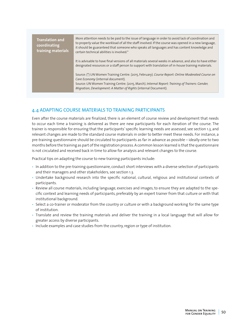| <b>Translation and</b><br>coordinating<br>training materials | More attention needs to be paid to the issue of language in order to avoid lack of coordination and<br>to properly value the workload of all the staff involved. If the course was opened in a new language,<br>it should be guaranteed that someone who speaks all languages and has content knowledge and<br>certain technical abilities is involved.* |
|--------------------------------------------------------------|----------------------------------------------------------------------------------------------------------------------------------------------------------------------------------------------------------------------------------------------------------------------------------------------------------------------------------------------------------|
|                                                              | It is advisable to have final versions of all materials several weeks in advance, and also to have either<br>designated resources or a staff person to support with translation of in-house training materials.                                                                                                                                          |
|                                                              | Source: (*) UN Women Training Centre. (2015, February). Course Report: Online Moderated Course on<br>Care Economy (internal document).<br>Source: UN Women Training Centre. (2015, March). Internal Report: Training of Trainers: Gender,<br>Migration, Development: A Matter of Rights (internal Document).                                             |

## 4.4 ADAPTING COURSE MATERIALS TO TRAINING PARTICIPANTS

Even after the course materials are finalized, there is an element of course review and development that needs to occur each time a training is delivered as there are new participants for each iteration of the course. The trainer is responsible for ensuring that the participants' specific learning needs are assessed, see section 1.3, and relevant changes are made to the standard course materials in order to better meet these needs. For instance, a pre-training questionnaire should be circulated to participants as far in advance as possible – ideally one to two months before the training as part of the registration process. A common lesson learned is that the questionnaire is not circulated and received back in time to allow for analysis and relevant changes to the course.

Practical tips on adapting the course to new training participants include:

- In addition to the pre-training questionnaire, conduct short interviews with a diverse selection of participants and their managers and other stakeholders, see section 1.3.
- Undertake background research into the specific national, cultural, religious and institutional contexts of participants.
- Review all course materials, including language, exercises and images, to ensure they are adapted to the specific context and learning needs of participants, preferably by an expert trainer from that culture or with that institutional background.
- Select a co-trainer or moderator from the country or culture or with a background working for the same type of institution.
- Translate and review the training materials and deliver the training in a local language that will allow for greater access by diverse participants.
- Include examples and case studies from the country, region or type of institution.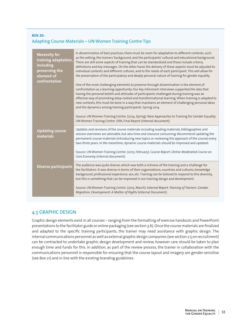## **BOX 20:**  Adapting Course Materials – UN Women Training Centre Tips

| <b>Necessity for</b><br>training adaptation,<br>including<br>preserving the<br>element of<br>confrontation | In dissemination of best practices, there must be room for adaptation to different contexts, such<br>as the setting, the trainers' background, and the participants' cultural and educational background.<br>There are still some aspects of training that can be standardized and these include criteria,<br>definitions and key messages. On the other hand, the delivery of these aspects must be adjusted to<br>individual contexts and different cultures, and to the needs of each participant. This will allow for<br>the preservation of the participatory and deeply personal nature of training for gender equality.<br>One of the most challenging elements to preserve through dissemination is the element of<br>confrontation as a learning opportunity. Our key informant interviews supported the idea that<br>having the personal beliefs and attitudes of participants challenged during training was an<br>effective way of promoting deep-rooted and transformational learning. When training is adapted to<br>new contexts, this must be done in a way that maintains an element of challenging personal ideas<br>and the dynamics among training participants. Spring 2014<br>Source: UN Women Training Centre. (2014, Spring). New Approaches to Training for Gender Equality:<br>UN Women Training Centre. SIPA, Final Report (internal document). |
|------------------------------------------------------------------------------------------------------------|----------------------------------------------------------------------------------------------------------------------------------------------------------------------------------------------------------------------------------------------------------------------------------------------------------------------------------------------------------------------------------------------------------------------------------------------------------------------------------------------------------------------------------------------------------------------------------------------------------------------------------------------------------------------------------------------------------------------------------------------------------------------------------------------------------------------------------------------------------------------------------------------------------------------------------------------------------------------------------------------------------------------------------------------------------------------------------------------------------------------------------------------------------------------------------------------------------------------------------------------------------------------------------------------------------------------------------------------------------------------------|
| <b>Updating course</b><br>materials                                                                        | Updates and revisions of the course materials including reading materials, bibliographies and<br>session overviews are advisable, but also time and resource consuming. Recommend updating the<br>permanent course materials (introducing new topics or reviewing the approach of the course) every<br>two-three years. In the meantime, dynamic course materials should be improved and updated.<br>Source: UN Women Training Centre. (2015, February). Course Report: Online Moderated Course on<br>Care Economy (internal document).                                                                                                                                                                                                                                                                                                                                                                                                                                                                                                                                                                                                                                                                                                                                                                                                                                    |
| <b>Diverse participants</b>                                                                                | The audience was quite diverse, which was both a richness of the training and a challenge for<br>the facilitators. It was diverse in terms of their organizations, countries and cultures, knowledge<br>background, professional experience, sex, etc. Training can be tailored to respond to this diversity,<br>but this is something that can be improved in our training design and development.<br>Source: UN Women Training Centre. (2015, March). Internal Report: Training of Trainers: Gender,<br>Migration, Development: A Matter of Rights (internal Document).                                                                                                                                                                                                                                                                                                                                                                                                                                                                                                                                                                                                                                                                                                                                                                                                  |

## 4.5 GRAPHIC DESIGN

Graphic design elements exist in all courses – ranging from the formatting of exercise handouts and PowerPoint presentations to the facilitator guide or online packaging (see section 3.6). Once the course materials are finalized and adapted to the specific training participants, the trainer may need assistance with graphic design. The internal communications personnel as well as external graphic design companies (see section 2.5 on recruitment) can be contracted to undertake graphic design development and review, however care should be taken to plan enough time and funds for this. In addition, as part of the review process, the trainer in collaboration with the communications personnel is responsible for ensuring that the course layout and imagery are gender-sensitive (see Box 21) and in line with the existing branding guidelines.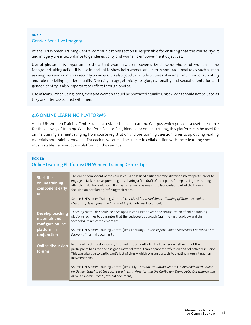## **BOX 21:**  Gender-Sensitive Imagery

At the UN Women Training Centre, communications section is responsible for ensuring that the course layout and imagery are in accordance to gender equality and women's empowerment objectives.

Use of photos: It is important to show that women are empowered by showing photos of women in the foreground taking action. It is also important to show both women and men in non-traditional roles, such as men as caregivers and women as security providers. It is also good to include pictures of women and men collaborating and role modelling gender equality. Diversity in age, ethnicity, religion, nationality and sexual orientation and gender identity is also important to reflect through photos.

Use of icons: When using icons, men and women should be portrayed equally. Unisex icons should not be used as they are often associated with men.

## 4.6 ONLINE LEARNING PLATFORMS

At the UN Women Training Centre, we have established an eLearning Campus which provides a useful resource for the delivery of training. Whether for a face-to-face, blended or online training, this platform can be used for online training elements ranging from course registration and pre-training questionnaires to uploading reading materials and training modules. For each new course, the trainer in collaboration with the e-learning specialist must establish a new course platform on the campus.

## **BOX 22:**  Online Learning Platforms: UN Women Training Centre Tips

| <b>Start the</b><br>online training<br>component early<br>on                               | The online component of the course could be started earlier, thereby allotting time for participants to<br>engage in tasks such as preparing and sharing a first draft of their plans for replicating the training<br>after the ToT. This could form the basis of some sessions in the face-to-face part of the training<br>focusing on developing/refining their plans.<br>Source: UN Women Training Centre. (2015, March). Internal Report: Training of Trainers: Gender,<br>Migration, Development: A Matter of Rights (internal Document).                                                 |  |  |  |
|--------------------------------------------------------------------------------------------|------------------------------------------------------------------------------------------------------------------------------------------------------------------------------------------------------------------------------------------------------------------------------------------------------------------------------------------------------------------------------------------------------------------------------------------------------------------------------------------------------------------------------------------------------------------------------------------------|--|--|--|
| <b>Develop teaching</b><br>materials and<br>configure online<br>platform in<br>conjunction | Teaching materials should be developed in conjunction with the configuration of online training<br>platform facilities to guarantee that the pedagogic approach (training methodology) and the<br>technologies are complementary.<br>Source: UN Women Training Centre. (2015, February). Course Report: Online Moderated Course on Care<br>Economy (internal document).                                                                                                                                                                                                                        |  |  |  |
| <b>Online discussion</b><br>forums                                                         | In our online discussion forum, it turned into a monitoring tool to check whether or not the<br>participants had read the assigned material rather than a space for reflection and collective discussion.<br>This was also due to participant's lack of time - which was an obstacle to creating more interaction<br>between them.<br>Source: UN Women Training Centre. (2015, July). Internal Evaluation Report: Online Moderated Course<br>on Gender Equality at the Local Level in Latin America and the Caribbean: Democratic Governance and<br>Inclusive Development (internal document). |  |  |  |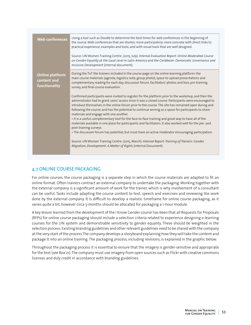| <b>Web conferences</b>                                 | Using a tool such as Doodle to determine the best times for web conferences in the beginning of<br>the course. Web conferences that are shorter; more participatory; more concrete with direct links to<br>practical experience, examples and tools; and with visual tools that are well designed.                                                                                                                                                                      |
|--------------------------------------------------------|-------------------------------------------------------------------------------------------------------------------------------------------------------------------------------------------------------------------------------------------------------------------------------------------------------------------------------------------------------------------------------------------------------------------------------------------------------------------------|
|                                                        | Source: UN Women Training Centre. (2015, July). Internal Evaluation Report: Online Moderated Course<br>on Gender Equality at the Local Level in Latin America and the Caribbean: Democratic Governance and<br>Inclusive Development (internal document).                                                                                                                                                                                                                |
| <b>Online platform</b><br>content and<br>functionality | During the ToT the trainers included in the course page on the online learning platform: the<br>main course materials (agenda, logistics note, group photo), space to upload presentations and<br>complementary reading for each day, discussion forum, facilitators' photos and bios, pre-training<br>survey, and final course evaluation.                                                                                                                             |
|                                                        | Confirmed participants were invited to register for the platform prior to the workshop, and then the<br>administrator had to grant users' access since it was a closed course. Participants were encouraged to<br>introduce themselves in the online forum prior to the course. The site has remained open during and<br>following the course, and has the potential to continue serving as a space for participants to share<br>materials and engage with one another. |
|                                                        | . It is a useful, complementary tool for the face-to-face training and great way to have all of the<br>materials available in one place for participants and facilitators. It also worked well for the pre- and<br>post-training surveys.                                                                                                                                                                                                                               |
|                                                        | • The discussion forum has potential, but must have an active moderator encouraging participation.                                                                                                                                                                                                                                                                                                                                                                      |
|                                                        | Source: UN Women Training Centre. (2015, March). Internal Report: Training of Trainers: Gender,<br>Migration, Development: A Matter of Rights (internal Document).                                                                                                                                                                                                                                                                                                      |

## 4.7 ONLINE COURSE PACKAGING

For online courses, the course packaging is a separate step in which the course materials are adapted to fit an online format. Often trainers contract an external company to undertake the packaging. Working together with the external company is a significant amount of work for the trainer, which is why involvement of a consultant can be useful. Tasks include adapting the course content to text, speech and exercises and reviewing the work done by the external company. It is difficult to develop a realistic timeframe for online course packaging, as it varies quite a bit, however circa 3-months should be allocated for packaging a 1-hour module.

A key lesson learned from the development of the I Know Gender course has been that all Requests for Proposals (RFPs) for online course packaging should include a selection criteria related to experience designing e-learning courses for the UN system and demonstrable sensitivity to gender equality. These should be weighted in the selection process. Existing branding guidelines and other relevant guidelines need to be shared with the company at the very start of the process The company develops a storyboard explaining how they will take the content and package it into an online training. The packaging process, including revisions, is explained in the graphic below.

Throughout the packaging process it is essential to ensure that the imagery is gender-sensitive and appropriate for the text (see Box 21). The company must use imagery from open sources such as Flickr with creative commons licenses and duly credit in accordance with branding guidelines.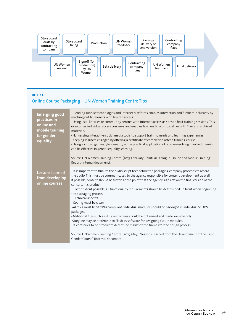

#### **BOX 23:**

## Online Course Packaging – UN Women Training Centre Tips

| <b>Emerging good</b><br>practices in<br>online and<br>mobile training<br>for gender<br>equality | · Blending mobile technologies and internet platforms enables interaction and furthers inclusivity by<br>reaching out to learners with limited access.<br>· Using local libraries or community centres with internet access as sites to host training sessions. This<br>overcomes individual access concerns and enables learners to work together with 'live' and archived<br>materials.<br>· Harnessing interactive social media tools to support training needs and learning experiences.<br>· Keeping learners engaged by offering a certificate of completion after a training course.<br>· Using a virtual game-style scenario, as the practical application of problem-solving involved therein<br>can be effective in gender equality learning.<br>Source: UN Women Training Centre. (2015, February). "Virtual Dialogue: Online and Mobile Training"<br>Report (internal document).                                                                                                                                                                       |
|-------------------------------------------------------------------------------------------------|--------------------------------------------------------------------------------------------------------------------------------------------------------------------------------------------------------------------------------------------------------------------------------------------------------------------------------------------------------------------------------------------------------------------------------------------------------------------------------------------------------------------------------------------------------------------------------------------------------------------------------------------------------------------------------------------------------------------------------------------------------------------------------------------------------------------------------------------------------------------------------------------------------------------------------------------------------------------------------------------------------------------------------------------------------------------|
| <b>Lessons learned</b><br>from developing<br>online courses                                     | · It is important to finalize the audio script text before the packaging company proceeds to record<br>the audio. This must be communicated to the agency responsible for content development as well.<br>If possible, content should be frozen at the point that the agency signs off on the final version of the<br>consultant's product.<br>• To the extent possible, all functionality requirements should be determined up front when beginning<br>the packaging process.<br>· Technical aspects:<br>-Coding must be clean.<br>-All files must be SCORM compliant. Individual modules should be packaged in individual SCORM<br>packages.<br>-Additional files such as PDFs and videos should be optimized and made web-friendly.<br>-Storyline may be preferable to Flash as software for designing future modules.<br>• It continues to be difficult to determine realistic time frames for the design process.<br>Source: UN Women Training Centre. (2015, May). "Lessons Learned from the Development of the Basic<br>Gender Course" (internal document). |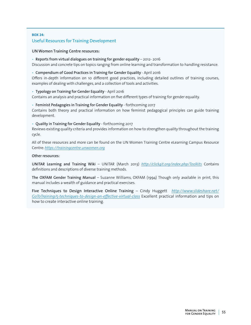## **BOX 24:**  Useful Resources for Training Development

#### UN Women Training Centre resources:

• Reports from virtual dialogues on training for gender equality – 2012- 2016 Discussion and concrete tips on topics ranging from online learning and transformation to handling resistance.

#### • Compendium of Good Practices in Training for Gender Equality - April 2016

Offers in-depth information on 10 different good practices, including detailed outlines of training courses, examples of dealing with challenges, and a collection of tools and activities.

#### • Typology on Training for Gender Equality - April 2016

Contains an analysis and practical information on five different types of training for gender equality.

#### • Feminist Pedagogies in Training for Gender Equality - forthcoming 2017

Contains both theory and practical information on how feminist pedagogical principles can guide training development.

#### • Quality in Training for Gender Equality - forthcoming 2017

Reviews existing quality criteria and provides information on how to strengthen quality throughout the training cycle.

All of these resources and more can be found on the UN Women Training Centre eLearning Campus Resource Centre: *<https://trainingcentre.unwomen.org>*

#### Other resources:

UNITAR Learning and Training Wiki – UNITAR (March 2013) *<http://click4it.org/index.php/Toolkits>* Contains definitions and descriptions of diverse training methods.

The OXFAM Gender Training Manual – Suzanne Williams, OXFAM (1994) Though only available in print, this manual includes a wealth of guidance and practical exercises.

Five Techniques to Design Interactive Online Training – Cindy Huggett *[http://www.slideshare.net/](http://www.slideshare.net/GoToTraining/5-techniques-to-design-an-effective-virtual-class) [GoToTraining/5-techniques-to-design-an-effective-virtual-class](http://www.slideshare.net/GoToTraining/5-techniques-to-design-an-effective-virtual-class)* Excellent practical information and tips on how to create interactive online training.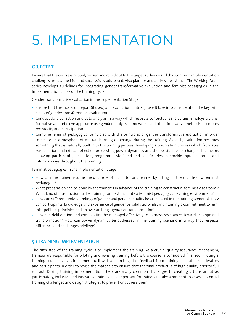# 5. IMPLEMENTATION

## **OBJECTIVE**

Ensure that the course is piloted, revised and rolled out to the target audience and that common implementation challenges are planned for and successfully addressed. Also plan for and address resistance. The Working Paper series develops guidelines for integrating gender-transformative evaluation and feminist pedagogies in the Implementation phase of the training cycle.

Gender-transformative evaluation in the Implementation Stage

- Ensure that the inception report (if used) and evaluation matrix (if used) take into consideration the key principles of gender-transformative evaluation.
- Conduct data collection and data analysis in a way which respects contextual sensitivities; employs a transformative and reflexive approach; use gender analysis frameworks and other innovative methods; promotes reciprocity and participation
- Combine feminist pedagogical principles with the principles of gender-transformative evaluation in order to create an atmosphere of mutual learning on change during the training. As such, evaluation becomes something that is naturally built in to the training process, developing a co-creation process which facilitates participation and critical reflection on existing power dynamics and the possibilities of change. This means allowing participants, facilitators, programme staff and end-beneficiaries to provide input in formal and informal ways throughout the training.

Feminist pedagogies in the Implementation Stage

- How can the trainer assume the dual role of facilitator and learner by taking on the mantle of a feminist pedagogue?
- What preparation can be done by the trainer/s in advance of the training to construct a 'feminist classroom'? What kind of introduction to the training can best facilitate a feminist pedagogical learning environment?
- How can different understandings of gender and gender equality be articulated in the training scenario? How can participants' knowledge and experience of gender be validated whilst maintaining a commitment to feminist political principles and an over-arching agenda of transformation?
- How can deliberation and contestation be managed effectively to harness resistances towards change and transformation? How can power dynamics be addressed in the training scenario in a way that respects difference and challenges privilege?

## 5.1 TRAINING IMPLEMENTATION

The fifth step of the training cycle is to implement the training. As a crucial quality assurance mechanism, trainers are responsible for piloting and revising training before the course is considered finalized. Piloting a training course involves implementing it with an aim to gather feedback from training facilitators/moderators and participants in order to revise the materials to ensure that the final product is of high quality prior to full roll out. During training implementation, there are many common challenges to creating a transformative, participatory, inclusive and innovative training. It is important for trainers to take a moment to assess potential training challenges and design strategies to prevent or address them.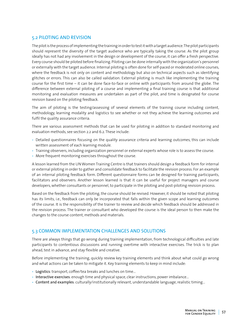## 5.2 PILOTING AND REVISION

The pilot is the process of implementing the training in order to test it with a target audience. The pilot participants should represent the diversity of the target audience who are typically taking the course. As the pilot group ideally has not had any involvement in the design or development of the course, it can offer a fresh perspective. Every course should be piloted before finalizing. Piloting can be done internally with the organization's personnel or externally with the target audience. Internal piloting is often done for self-paced or moderated online courses, where the feedback is not only on content and methodology but also on technical aspects such as identifying glitches or errors. This can also be called validation. External piloting is much like implementing the training course for the first time – it can be done face-to-face or online with participants from around the globe. The difference between external piloting of a course and implementing a final training course is that additional monitoring and evaluation measures are undertaken as part of the pilot, and time is designated for course revision based on the piloting feedback.

The aim of piloting is the testing/assessing of several elements of the training course including content, methodology, learning modality and logistics to see whether or not they achieve the learning outcomes and fulfil the quality assurance criteria.

There are various assessment methods that can be used for piloting in addition to standard monitoring and evaluation methods, see section 2.2 and 6.2. These include:

- Detailed questionnaires focusing on the quality assurance criteria and learning outcomes, this can include written assessment of each learning module.
- Training observers, including organization personnel or external experts whose role is to assess the course.
- More frequent monitoring exercises throughout the course.

A lesson learned from the UN Women Training Centre is that trainers should design a feedback form for internal or external piloting in order to gather and consolidate feedback to facilitate the revision process. For an example of an internal piloting feedback form. Different questionnaire forms can be designed for training participants, facilitators and observers. Another lesson learned is that it can be useful for project managers and course developers, whether consultants or personnel, to participate in the piloting and post-piloting revision process.

Based on the feedback from the piloting, the course should be revised. However, it should be noted that piloting has its limits, i.e., feedback can only be incorporated that falls within the given scope and learning outcomes of the course. It is the responsibility of the trainer to review and decide which feedback should be addressed in the revision process. The trainer or consultant who developed the course is the ideal person to then make the changes to the course content, methods and materials.

## 5.3 COMMON IMPLEMENTATION CHALLENGES AND SOLUTIONS

There are always things that go wrong during training implementation, from technological difficulties and late participants to contentious discussions and running overtime with interactive exercises. The trick is to plan ahead, test in advance, and stay flexible and creative.

Before implementing the training, quickly review key training elements and think about what could go wrong and what actions can be taken to mitigate it. Key training elements to keep in mind include:

- Logistics: transport, coffee/tea breaks and lunches on time…
- Interactive exercises: enough time and physical space, clear instructions, power imbalance…
- Content and examples: culturally/institutionally relevant, understandable language, realistic timing…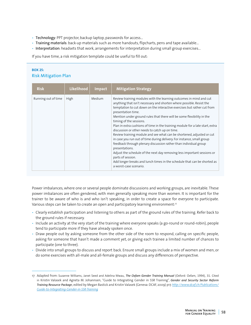- Technology: PPT projector, backup laptop, passwords for access…
- Training materials: back-up materials such as more handouts, flipcharts, pens and tape available…
- Interpretation: headsets that work, arrangements for interpretation during small group exercises…

If you have time, a risk mitigation template could be useful to fill out:

## **BOX 25:**  Risk Mitigation Plan

| <b>Risk</b>         | Likelihood | Impact | <b>Mitigation Strategy</b>                                                                                                                                                                                                                                                                                                                                                                                                                                                                                                                                                                                                                                                                                                                                                                                                                                                                                                        |
|---------------------|------------|--------|-----------------------------------------------------------------------------------------------------------------------------------------------------------------------------------------------------------------------------------------------------------------------------------------------------------------------------------------------------------------------------------------------------------------------------------------------------------------------------------------------------------------------------------------------------------------------------------------------------------------------------------------------------------------------------------------------------------------------------------------------------------------------------------------------------------------------------------------------------------------------------------------------------------------------------------|
| Running out of time | High       | Medium | Review training modules with the learning outcomes in mind and cut<br>anything that isn't necessary and shorten where possible. Resist the<br>temptation to cut down on the interactive exercises but rather cut from<br>presentation time.<br>Mention under ground rules that there will be some flexibility in the<br>timing of the sessions.<br>Plan in extra cushions of time in the training module for a late start, extra<br>discussion or other needs to catch up on time.<br>Review training module and see what can be shortened, adjusted or cut<br>in case you run out of time during delivery. For instance, small group<br>feedback through plenary discussion rather than individual group<br>presentations.<br>Adjust the schedule of the next day removing less important sessions or<br>parts of session.<br>Add longer breaks and lunch times in the schedule that can be shorted as<br>a worst-case scenario. |

Power imbalances, where one or several people dominate discussions and working groups, are inevitable. These power imbalances are often gendered, with men generally speaking more than women. It is important for the trainer to be aware of who is and who isn't speaking, in order to create a space for everyone to participate. Various steps can be taken to create an open and participatory learning environment:<sup>17</sup>

- Clearly establish participation and listening to others as part of the ground rules of the training. Refer back to the ground rules if necessary.
- Include an activity at the very start of the training where everyone speaks (a go-round or round-robin), people tend to participate more if they have already spoken once.
- Draw people out by asking someone from the other side of the room to respond, calling on specific people, asking for someone that hasn't made a comment yet, or giving each trainee a limited number of chances to participate (one to three).
- Divide into small groups to discuss and report back. Ensure small groups include a mix of women and men, or do some exercises with all-male and all-female groups and discuss any differences of perspective.

<sup>17</sup> Adapted from: Suzanne Williams, Janet Seed and Adelina Mwau, *The Oxfam Gender Training Manual* (Oxford: Oxfam, 1994), 31. Cited in Kristin Valasek and Agneta M. Johannsen, "Guide to Integrating Gender in SSR Training", *Gender and Security Sector Reform Training Resource Packag*e, edited by Megan Bastick and Kristin Valasek (Geneva: DCAF, 2009) p17. *[http://www.dcaf.ch/Publications/](http://www.dcaf.ch/Publications/Guide-to-Integrating-Gender-in-SSR-Training) [Guide-to-Integrating-Gender-in-SSR-Training](http://www.dcaf.ch/Publications/Guide-to-Integrating-Gender-in-SSR-Training)*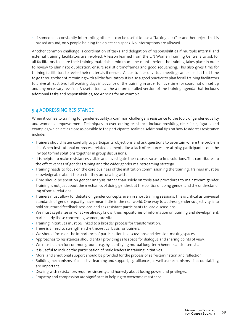• If someone is constantly interrupting others it can be useful to use a "talking stick" or another object that is passed around; only people holding the object can speak. No interruptions are allowed.

Another common challenge is coordination of tasks and delegation of responsibilities if multiple internal and external training facilitators are involved. A lesson learned from the UN Women Training Centre is to ask for all facilitators to share their training materials a minimum one-month before the training takes place in order to review to eliminate duplication, ensure realistic timeframes and good sequencing. This also gives time for training facilitators to revise their materials if needed. A face-to-face or virtual meeting can be held at that time to go through the entire training with all the facilitators. It is also a good practice to plan for all training facilitators to arrive at least two full working days in advance of the training in order to have time for coordination, set-up and any necessary revision. A useful tool can be a more detailed version of the training agenda that includes additional tasks and responsibilities, see Annex 5 for an example.

## 5.4 ADDRESSING RESISTANCE

When it comes to training for gender equality, a common challenge is resistance to the topic of gender equality and women's empowerment. Techniques to overcoming resistance include providing clear facts, figures and examples, which are as close as possible to the participants' realities. Additional tips on how to address resistance include:

- Trainers should listen carefully to participants' objections and ask questions to ascertain where the problem lies. When institutional or process-related elements like a lack of resources are at play, participants could be invited to find solutions together in group discussions.
- It is helpful to make resistances visible and investigate their causes so as to find solutions. This contributes to the effectiveness of gender training and the wider gender mainstreaming strategy.
- Training needs to focus on the core business of the institution commissioning the training. Trainers must be knowledgeable about the sector they are dealing with.
- Time should be spent on gender analysis rather than solely on tools and procedures to mainstream gender. Training is not just about the mechanics of doing gender, but the politics of doing gender and the understanding of social relations.
- Trainers must allow for debate on gender concepts, even in short training sessions. This is critical as universal standards of gender equality have mean little in the real world. One way to address gender subjectivity is to hold structured feedback sessions and ask resistant participants to lead discussions.
- We must capitalize on what we already know; thus repositories of information on training and development, particularly those concerning women, are vital.
- Training initiatives must be linked to a broader process for transformation.
- There is a need to strengthen the theoretical basis for trainers.
- We should focus on the importance of participation in discussions and decision-making spaces.
- Approaches to resistances should entail providing safe space for dialogue and sharing points of view.
- We must search for common ground, e.g. by identifying mutual long-term benefits and/interests.
- It is useful to include the participation of male leaders in training initiatives.
- Moral and emotional support should be provided for the process of self-examination and reflection.
- Building mechanisms of collective learning and support, e.g. alliances, as well as mechanisms of accountability, are important.
- Dealing with resistances requires sincerity and honesty about losing power and privileges.
- Empathy and compassion are significant in helping to overcome resistance.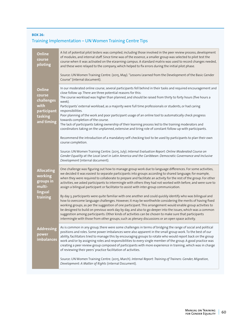## **BOX 26:**  Training Implementation – UN Women Training Centre Tips

| <b>Online</b><br>course<br>piloting                                                   | A list of potential pilot testers was compiled, including those involved in the peer review process, development<br>of modules, and internal staff. Since time was of the essence, a smaller group was selected to pilot test the<br>course when it was activated on the eLearning campus. A standard matrix was used to record changes needed,<br>and these were relayed to the company, which helped to fix errors during the initial pilot phase.                                                                                                                                                                                                                                                                                                                                                       |
|---------------------------------------------------------------------------------------|------------------------------------------------------------------------------------------------------------------------------------------------------------------------------------------------------------------------------------------------------------------------------------------------------------------------------------------------------------------------------------------------------------------------------------------------------------------------------------------------------------------------------------------------------------------------------------------------------------------------------------------------------------------------------------------------------------------------------------------------------------------------------------------------------------|
|                                                                                       | Source: UN Women Training Centre. (2015, May). "Lessons Learned from the Development of the Basic Gender<br>Course" (internal document).                                                                                                                                                                                                                                                                                                                                                                                                                                                                                                                                                                                                                                                                   |
| <b>Online</b><br>course<br>challenges<br>with<br>participant<br>tasking<br>and timing | In our moderated online course, several participants fell behind in their tasks and required encouragement and<br>close follow up. There are three potential reasons for this:<br>The course workload was higher than planned, and should be raised from thirty to forty hours (five hours a<br>week).<br>Participants' external workload, as a majority were full time professionals or students, or had caring<br>responsibilities.<br>Poor planning of the work and poor participant usage of an online tool to automatically check progress<br>towards completion of the course.<br>The lack of participants taking ownership of their learning process led to the training moderators and<br>coordinators taking on the unplanned, extensive and tiring role of constant follow-up with participants. |
|                                                                                       | Recommend the introduction of a mandatory self-checking tool to be used by participants to plan their own<br>course completion.<br>Source: UN Women Training Centre. (2015, July). Internal Evaluation Report: Online Moderated Course on<br>Gender Equality at the Local Level in Latin America and the Caribbean: Democratic Governance and Inclusive                                                                                                                                                                                                                                                                                                                                                                                                                                                    |
|                                                                                       | Development (internal document).                                                                                                                                                                                                                                                                                                                                                                                                                                                                                                                                                                                                                                                                                                                                                                           |
| <b>Allocating</b><br>working<br>groups in<br>multi-<br>lingual<br>training            | One challenge was figuring out how to manage group work due to language differences. For some activities,<br>we decided it was easiest to separate participants into groups according to shared language; for example,<br>when they were required to collaborate to prepare and facilitate an activity for the rest of the group. For other<br>activities, we asked participants to intermingle with others they had not worked with before, and were sure to<br>assign a bilingual participant or facilitator to assist with inter-group communication.                                                                                                                                                                                                                                                   |
|                                                                                       | By day 3, participants were quite familiar with one another and could quickly identify who was bilingual and<br>how to overcome language challenges. However, it may be worthwhile considering the merits of having fixed<br>working groups, as per the suggestion of one participant. This arrangement would enable group activities to<br>be designed to build on previous work day by day, and also to go deeper into the issues, which was a common<br>suggestion among participants. Other kinds of activities can be chosen to make sure that participants<br>intermingle with those from other groups, such as plenary discussions or an open space activity.                                                                                                                                       |
| <b>Addressing</b><br>power<br>imbalances                                              | As is common in any group, there were some challenges in terms of bridging the range of social and political<br>positions and roles. Some power imbalances were also apparent in the small group work. To the best of our<br>ability, facilitators tried to manage this by encouraging groups to rotate who would report back on the group<br>work and/or by assigning roles and responsibilities to every single member of the group. A good practice was<br>creating a peer review group composed of participants with more experience in training, which was in charge<br>of reviewing their peers' practice facilitation of activities.                                                                                                                                                                |
|                                                                                       | Source: UN Women Training Centre. (2015, March). Internal Report: Training of Trainers: Gender, Migration,<br>Development: A Matter of Rights (internal Document).                                                                                                                                                                                                                                                                                                                                                                                                                                                                                                                                                                                                                                         |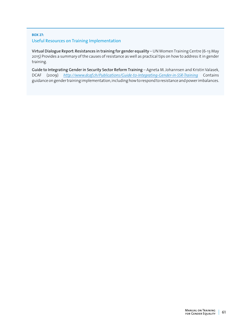#### **BOX 27:**

### Useful Resources on Training Implementation

Virtual Dialogue Report: Resistances in training for gender equality – UN Women Training Centre (6-13 May 2015) Provides a summary of the causes of resistance as well as practical tips on how to address it in gender training.

Guide to Integrating Gender in Security Sector Reform Training – Agneta M. Johannsen and Kristin Valasek, DCAF (2009) *<http://www.dcaf.ch/Publications/Guide-to-Integrating-Gender-in-SSR-Training>* Contains guidance on gender training implementation, including how to respond to resistance and power imbalances.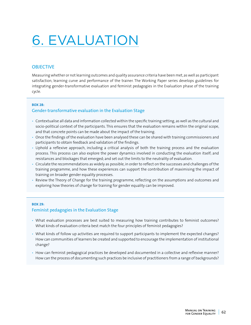# 6. EVALUATION

## **OBJECTIVE**

Measuring whether or not learning outcomes and quality assurance criteria have been met, as well as participant satisfaction, learning curve and performance of the trainer. The Working Paper series develops guidelines for integrating gender-transformative evaluation and feminist pedagogies in the Evaluation phase of the training cycle.

#### **BOX 28:**

## Gender-transformative evaluation in the Evaluation Stage

- Contextualise all data and information collected within the specific training setting, as well as the cultural and socio-political context of the participants. This ensures that the evaluation remains within the original scope, and that concrete points can be made about the impact of the training.
- Once the findings of the evaluation have been analysed these can be shared with training commissioners and participants to obtain feedback and validation of the findings.
- Uphold a reflexive approach, including a critical analysis of both the training process and the evaluation process. This process can also explore the power dynamics involved in conducting the evaluation itself; and resistances and blockages that emerged; and set out the limits to the neutrality of evaluation.
- Circulate the recommendations as widely as possible, in order to reflect on the successes and challenges of the training programme, and how these experiences can support the contribution of maximising the impact of training on broader gender equality processes.
- Review the Theory of Change for the training programme, reflecting on the assumptions and outcomes and exploring how theories of change for training for gender equality can be improved.

#### **BOX 29:**

#### Feminist pedagogies in the Evaluation Stage

- What evaluation processes are best suited to measuring how training contributes to feminist outcomes? What kinds of evaluation criteria best match the four principles of feminist pedagogies?
- What kinds of follow up activities are required to support participants to implement the expected changes? How can communities of learners be created and supported to encourage the implementation of institutional change?
- How can feminist pedagogical practices be developed and documented in a collective and reflexive manner? How can the process of documenting such practices be inclusive of practitioners from a range of backgrounds?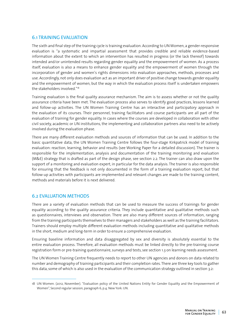## 6.1 TRAINING EVALUATION

The sixth and final step of the training cycle is training evaluation. According to UN Women, a gender-responsive evaluation is "a systematic and impartial assessment that provides credible and reliable evidence-based information about the extent to which an intervention has resulted in progress (or the lack thereof) towards intended and/or unintended results regarding gender equality and the empowerment of women. As a process itself, evaluation is also a means to enhance gender equality and the empowerment of women through the incorporation of gender and women's rights dimensions into evaluation approaches, methods, processes and use. Accordingly, not only does evaluation act as an important driver of positive change towards gender equality and the empowerment of women, but the way in which the evaluation process itself is undertaken empowers the stakeholders involved."18

Training evaluation is the final quality assurance mechanism. The aim is to assess whether or not the quality assurance criteria have been met. The evaluation process also serves to identify good practices, lessons learned and follow-up activities. The UN Women Training Centre has an interactive and participatory approach in the evaluation of its courses. Their personnel, training facilitators and course participants are all part of the evaluation of training for gender equality. In cases where the courses are developed in collaboration with other civil society, academic or UN institutions, the implementing and collaboration partners also need to be actively involved during the evaluation phase.

There are many different evaluation methods and sources of information that can be used. In addition to the basic quantitative data, the UN Women Training Centre follows the four-stage Kirkpatrick model of training evaluation: reaction, learning, behavior and results (see Working Paper for a detailed discussion). The trainer is responsible for the implementation, analysis and documentation of the training monitoring and evaluation (M&E) strategy that is drafted as part of the design phase, see section 2.2. The trainer can also draw upon the support of a monitoring and evaluation expert, in particular for the data analysis. The trainer is also responsible for ensuring that the feedback is not only documented in the form of a training evaluation report, but that follow-up activities with participants are implemented and relevant changes are made to the training content, methods and materials before it is next delivered.

## 6.2 EVALUATION METHODS

There are a variety of evaluation methods that can be used to measure the success of trainings for gender equality according to the quality assurance criteria. They include quantitative and qualitative methods such as questionnaires, interviews and observation. There are also many different sources of information, ranging from the training participants themselves to their managers and stakeholders as well as the training facilitators. Trainers should employ multiple different evaluation methods including quantitative and qualitative methods in the short, medium and long-term in order to ensure a comprehensive evaluation.

Ensuring baseline information and data disaggregated by sex and diversity is absolutely essential to the entire evaluation process. Therefore, all evaluation methods must be linked directly to the pre-training course registration form or pre-training questionnaire, surveys and tests, see section 1.3 on learning needs assessment.

The UN Women Training Centre frequently needs to report to other UN agencies and donors on data related to number and demography of training participants and their completion rates. There are three key tools to gather this data, some of which is also used in the evaluation of the communication strategy outlined in section 3.2:

<sup>18</sup> UN Women. (2012, November). "Evaluation policy of the United Nations Entity for Gender Equality and the Empowerment of Women", Second regular session, paragraph 6, p.4. New York: UN.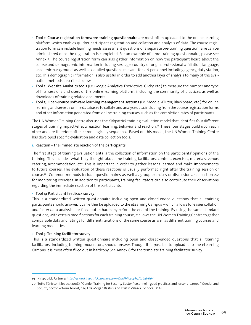- Tool 1: Course registration forms/pre-training questionnaire are most often uploaded to the online learning platform which enables quicker participant registration and collation and analysis of data. The course registration form can include learning needs assessment questions or a separate pre-training questionnaire can be administered once the registration is completed. For an example of a pre-training questionnaire, please see Annex 3. The course registration form can also gather information on how the participant heard about the course and demographic information including sex, age, country of origin, professional affiliation, language, academic background, as well as detailed questions relevant for UN personnel including agency, duty station, etc. This demographic information is also useful in order to add another layer of analysis to many of the evaluation methods described below.
- Tool 2: Website Analytics tools (i.e. Google Analytics, FoxMetrics, Clicky, etc.) to measure the number and type of hits, sessions and users of the online learning platform, including the community of practices, as well as downloads of training related documents.
- Tool 3: Open-source software learning management systems (i.e. Moodle, ATutor, Blackboard, etc.) for online learning and serve as online databases to collate and analyse data, including from the course registration forms and other information generated from online training courses such as the completion rates of participants.

The UN Women Training Centre also uses the Kirkpatrick training evaluation model that identifies four different stages of training impact/effect: reaction, learning, behavior and reaction.<sup>19</sup> These four stages build upon each other and are therefore often chronologically sequenced. Based on this model, the UN Women Training Centre has developed specific evaluation and data collection tools.

#### **1.** Reaction – the immediate reaction of the participants

The first stage of training evaluation entails the collection of information on the participants' opinions of the training. This includes what they thought about the training facilitators, content, exercises, materials, venue, catering, accommodation, etc. This is important in order to gather lessons learned and make improvements to future courses. The evaluation of these reactions is usually performed right after the training session or course.20 Common methods include questionnaires as well as group exercises or discussions, see section 2.2 for monitoring exercises. In addition to participants, training facilitators can also contribute their observations regarding the immediate reaction of the participants.

#### • Tool 4: Participant feedback survey

This is a standardized written questionnaire including open and closed-ended questions that all training participants should answer. It can either be uploaded to the eLearning Campus – which allows for easier collation and faster data analysis – or filled out in hardcopy before the end of the training. By using the same standard questions, with certain modifications for each training course, it allows the UN Women Training Centre to gather comparable data and ratings for different iterations of the same course as well as different training courses and learning modalities.

#### • Tool 5: Training facilitator survey

This is a standardized written questionnaire including open and closed-ended questions that all training facilitators, including training moderators, should answer. Though it is possible to upload it to the eLearning Campus it is most often filled out in hardcopy. See Annex 6 for the template training facilitator survey.

<sup>19</sup> Kirkpatrick Partners: *<http://www.kirkpatrickpartners.com/OurPhilosophy/tabid/66/>*

<sup>20</sup> Toiko Tõnisson Kleppe. (2008). "Gender Training for Security Sector Personnel – good practices and lessons learned." Gender and Security Sector Reform Toolkit, p.14. Eds. Megan Bastick and Kristin Valasek. Geneva: DCAF.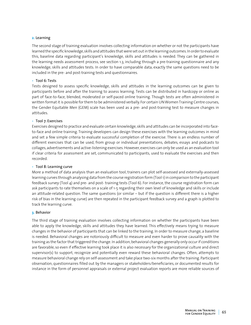#### **2.** Learning

The second stage of training evaluation involves collecting information on whether or not the participants have learned the specific knowledge, skills and attitudes that were set out in the learning outcomes. In order to evaluate this, baseline data regarding participant's knowledge, skills and attitudes is needed. They can be gathered in the learning needs assessment process, see section 1.3, including through a pre-training questionnaire and any knowledge, skills and attitudes tests. In order to have comparable data, exactly the same questions need to be included in the pre- and post-training tests and questionnaires.

#### • Tool 6: Tests

Tests designed to assess specific knowledge, skills and attitudes in the learning outcomes can be given to participants before and after the training to assess learning. Tests can be distributed in hardcopy or online as part of face-to-face, blended, moderated or self-paced online training. Though tests are often administered in written format it is possible for them to be administered verbally. For certain UN Women Training Centre courses, the Gender Equitable Men (GEM) scale has been used as a pre- and post-training test to measure changes in attitudes.

#### • Tool 7: Exercises

Exercises designed to practice and evaluate certain knowledge, skills and attitudes can be incorporated into faceto-face and online training. Training developers can design these exercises with the learning outcomes in mind and set a few simple criteria to evaluate successful completion of the exercise. There is an endless number of different exercises that can be used, from group or individual presentations, debates, essays and podcasts to collages, advertisements and active-listening exercises. However, exercises can only be used as an evaluation tool if clear criteria for assessment are set, communicated to participants, used to evaluate the exercises and then recorded.

#### • Tool 8: Learning curve

More a method of data analysis than an evaluation tool, trainers can plot self-assessed and externally-assessed learning curves through analysing data from the course registration form (Tool 1) in comparison to the participant feedback survey (Tool 4) and pre- and post- training tests (Tool 6). For instance, the course registration form can ask participants to rate themselves on a scale of 1-5 regarding their own level of knowledge and skills or include an attitude-related question. The same questions (or similar – but if the question is different there is a higher risk of bias in the learning curve) are then repeated in the participant feedback survey and a graph is plotted to track the learning curve.

#### **3.** Behavior

The third stage of training evaluation involves collecting information on whether the participants have been able to apply the knowledge, skills and attitudes they have learned. This effectively means trying to measure changes in the behavior of participants that can be linked to the training. In order to measure change, a baseline is needed. Behavioral changes are notoriously difficult to measure and even harder to prove causality with the training as the factor that triggered the change. In addition, behavioral changes generally only occur if conditions are favorable, so even if effective learning took place it is also necessary for the organizational culture and direct supervisor(s) to support, recognize and potentially even reward these behavioral changes. Often, attempts to measure behavioral change rely on self-assessment and take place two-six months after the training. Participant observation, questionnaires filled out by the managers or stakeholders/beneficiaries, or documented results for instance in the form of personnel appraisals or external project evaluation reports are more reliable sources of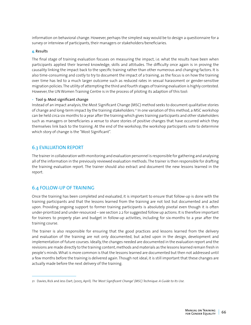information on behavioral change. However, perhaps the simplest way would be to design a questionnaire for a survey or interview of participants, their managers or stakeholders/beneficiaries.

#### **4.** Results

The final stage of training evaluation focuses on measuring the impact, i.e. what the results have been when participants applied their learned knowledge, skills and attitudes. The difficulty once again is in proving the causality linking the impact back to the specific training rather than other numerous and changing factors. It is also time-consuming and costly to try to document the impact of a training, as the focus is on how the training over time has led to a much larger outcome such as reduced rates in sexual harassment or gender-sensitive migration policies. The utility of attempting the third and fourth stages of training evaluation is highly contested. However, the UN Women Training Centre is in the process of piloting its adaption of this tool:

#### • Tool 9: Most significant change

Instead of an impact analysis, the Most Significant Change (MSC) method seeks to document qualitative stories of change and long-term impact by the training stakeholders.21 In one variation of this method, a MSC workshop can be held circa six months to a year after the training which gives training participants and other stakeholders such as managers or beneficiaries a venue to share stories of positive changes that have occurred which they themselves link back to the training. At the end of the workshop, the workshop participants vote to determine which story of change is the "Most Significant".

#### 6.3 EVALUATION REPORT

The trainer in collaboration with monitoring and evaluation personnel is responsible for gathering and analysing all of the information in the previously reviewed evaluation methods. The trainer is then responsible for drafting the training evaluation report. The trainer should also extract and document the new lessons learned in the report.

#### 6.4 FOLLOW-UP OF TRAINING

Once the training has been completed and evaluated, it is important to ensure that follow-up is done with the training participants and that the lessons learned from the training are not lost but documented and acted upon. Providing ongoing support to former training participants is absolutely pivotal even though it is often under-prioritized and under-resourced – see section 2.2 for suggested follow up actions. It is therefore important for trainers to properly plan and budget in follow-up activities, including for six-months to a year after the training course.

The trainer is also responsible for ensuring that the good practices and lessons learned from the delivery and evaluation of the training are not only documented, but acted upon in the design, development and implementation of future courses. Ideally, the changes needed are documented in the evaluation report and the revisions are made directly to the training content, methods and materials as the lessons learned remain fresh in people's minds. What is more common is that the lessons learned are documented but then not addressed until a few months before the training is delivered again. Though not ideal, it is still important that these changes are actually made before the next delivery of the training.

<sup>21</sup> Davies, Rick and Jess Dart, (2005, April). *The 'Most Significant Change' (MSC) Technique: A Guide to Its Use.*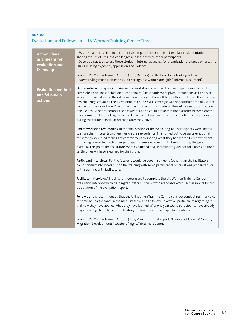## **BOX 30:**  Evaluation and Follow-Up – UN Women Training Centre Tips

| <b>Action plans</b><br>as a means for<br>evaluation and<br>follow-up | • Establish a mechanism to document and report back on their action plan implementation,<br>sharing stories of progress, challenges and lessons with other participants.<br>• Develop a strategy to use these stories in internal advocacy for organizational change on pressing<br>issues relating to gender, oppression and violence.<br>Source: UN Women Training Centre. (2014, October). "Reflection Note - Looking within:<br>understanding masculinities and violence against women and girls" (Internal Document).                                                                                                                                                                                                                                                                                                                                                                                                                                                                                                                                                                                                                                                                                                                                                                                                                                                                                                                                                                                                                                                                                                                                                                                                                                                                                                                                                                                                                                                                                                                                                                                                                                 |
|----------------------------------------------------------------------|------------------------------------------------------------------------------------------------------------------------------------------------------------------------------------------------------------------------------------------------------------------------------------------------------------------------------------------------------------------------------------------------------------------------------------------------------------------------------------------------------------------------------------------------------------------------------------------------------------------------------------------------------------------------------------------------------------------------------------------------------------------------------------------------------------------------------------------------------------------------------------------------------------------------------------------------------------------------------------------------------------------------------------------------------------------------------------------------------------------------------------------------------------------------------------------------------------------------------------------------------------------------------------------------------------------------------------------------------------------------------------------------------------------------------------------------------------------------------------------------------------------------------------------------------------------------------------------------------------------------------------------------------------------------------------------------------------------------------------------------------------------------------------------------------------------------------------------------------------------------------------------------------------------------------------------------------------------------------------------------------------------------------------------------------------------------------------------------------------------------------------------------------------|
| <b>Evaluation methods</b><br>and follow-up<br>actions                | Online satisfaction questionnaire: As the workshop drew to a close, participants were asked to<br>complete an online satisfaction questionnaire. Participants were given instructions as to how to<br>access the evaluation on the e-Learning Campus, and then left to quietly complete it. There were a<br>few challenges to doing the questionnaire online. Wi-Fi coverage was not sufficient for all users to<br>connect at the same time. One of the questions was incomplete on the online version and at least<br>one user could not remember the password and so could not access the platform to complete the<br>questionnaire. Nonetheless, it is a good practice to have participants complete this questionnaire<br>during the training itself, rather than after they leave.<br>End of workshop testimonies: In the final session of the week-long ToT, participants were invited<br>to share their thoughts and feelings on their experience. This turned out to be quite emotional<br>for some, who shared feelings of commitment to sharing what they had learned, empowerment<br>for having connected with other participants, renewed strength to keep "fighting the good<br>fight." By this point, the facilitators were exhausted and unfortunately did not take notes on their<br>testimonies - a lesson learned for the future.<br>Participant interviews: For the future, it would be good if someone (other than the facilitators)<br>could conduct interviews during the training with some participants on questions prepared prior<br>to the training with facilitators.<br>Facilitator interview: All facilitators were asked to complete the UN Women Training Centre<br>evaluation interview with training facilitators. Their written responses were used as inputs for the<br>elaboration of the evaluation report.<br>Follow up: It is recommended that the UN Women Training Centre consider conducting interviews<br>of some ToT participants in the medium term, and to follow up with all participants regarding if<br>and how they have applied what they have learned after one year. Many participants have already |
|                                                                      | begun sharing their plans for replicating the training in their respective contexts.<br>Source: UN Women Training Centre. (2015, March). Internal Report: "Training of Trainers" Gender,<br>Migration, Development: A Matter of Rights" (internal document).                                                                                                                                                                                                                                                                                                                                                                                                                                                                                                                                                                                                                                                                                                                                                                                                                                                                                                                                                                                                                                                                                                                                                                                                                                                                                                                                                                                                                                                                                                                                                                                                                                                                                                                                                                                                                                                                                               |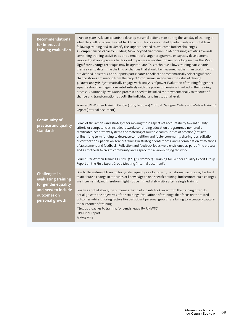| <b>Recommendations</b><br>for improved<br>training evaluation                                                               | 1. Action plans: Ask participants to develop personal actions plan during the last day of training on<br>what they will do when they get back to work. This is a way to hold participants accountable in<br>follow up training and to identify the support needed to overcome further challenges.<br>2. Comprehensive capacity building: Move beyond traditional isolated training activities towards<br>combining training activities as one element of a larger programme or capacity development-<br>knowledge sharing process. In this kind of process, an evaluation methodology such as the Most<br>Significant Change technique may be appropriate. This technique allows training participants<br>themselves to determine the kind of changes that should be measured, rather than working with<br>pre-defined indicators, and supports participants to collect and systematically select significant<br>change stories emanating from the project/programme and discuss the value of change.<br>3. Power analysis: Systematically engage with analysis of power. Evaluation of training for gender<br>equality should engage more substantively with the power dimensions involved in the training<br>process. Additionally, evaluation processes need to be linked more systematically to theories of<br>change and transformation, at both the individual and institutional level.<br>Source: UN Women Training Centre. (2015, February). "Virtual Dialogue: Online and Mobile Training"<br>Report (internal document). |
|-----------------------------------------------------------------------------------------------------------------------------|------------------------------------------------------------------------------------------------------------------------------------------------------------------------------------------------------------------------------------------------------------------------------------------------------------------------------------------------------------------------------------------------------------------------------------------------------------------------------------------------------------------------------------------------------------------------------------------------------------------------------------------------------------------------------------------------------------------------------------------------------------------------------------------------------------------------------------------------------------------------------------------------------------------------------------------------------------------------------------------------------------------------------------------------------------------------------------------------------------------------------------------------------------------------------------------------------------------------------------------------------------------------------------------------------------------------------------------------------------------------------------------------------------------------------------------------------------------------------------------------------------------------------------|
| <b>Community of</b><br>practice and quality<br>standards                                                                    | Some of the actions and strategies for moving these aspects of accountability toward quality<br>criteria or competencies included: awards, continuing education programmes, non-credit<br>certificates, peer review systems, the fostering of multiple communities of practice (not just<br>online); long term funding to decrease competition and foster community sharing; accreditation<br>or certifications; panels on gender training in strategic conferences; and a combination of methods<br>of assessment and feedback. Reflection and feedback loops were envisioned as part of the process<br>and as methods to create community and a space for acknowledging the work.                                                                                                                                                                                                                                                                                                                                                                                                                                                                                                                                                                                                                                                                                                                                                                                                                                                |
|                                                                                                                             | Source: UN Women Training Centre. (2013, September). "Training for Gender Equality Expert Group<br>Report on the First Expert Group Meeting (internal document).                                                                                                                                                                                                                                                                                                                                                                                                                                                                                                                                                                                                                                                                                                                                                                                                                                                                                                                                                                                                                                                                                                                                                                                                                                                                                                                                                                   |
| <b>Challenges in</b><br>evaluating training<br>for gender equality<br>and need to include<br>outcomes on<br>personal growth | Due to the nature of training for gender equality as a long-term, transformative process, it is hard<br>to attribute a change in attitudes or knowledge to one specific training; furthermore, such changes<br>are incremental, and therefore might not be immediately visible after a single training.<br>Finally, as noted above, the outcomes that participants took away from the training often do<br>not align with the objectives of the trainings. Evaluations of trainings that focus on the stated<br>outcomes while ignoring factors like participant personal growth, are failing to accurately capture<br>the outcomes of training.<br>"New approaches to training for gender equality: UNWTC"<br>SIPA Final Report<br>Spring 2014                                                                                                                                                                                                                                                                                                                                                                                                                                                                                                                                                                                                                                                                                                                                                                                    |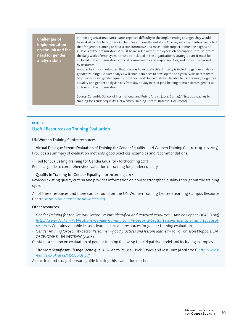**Challenges of implementation on-the-job and the need for gender analysis skills**

In their organizations, participants reported difficulty in the implementing changes they would have liked to, due to tight work schedules and insufficient skills. One key informant interview noted that for gender training to have a transformative and measurable impact, it must be aligned at all levels of the organization, it must be included in the employees' job description, it must inform the daily work of employees, it must be included in the organization's strategic plan, it must be included in the organization's official commitments and responsibilities, and it must be backed up by resources.

Another key informant noted that one way to mitigate this difficulty is including gender analysis in gender trainings. Gender analysis will enable trainees to develop the analytical skills necessary to help mainstream gender equality into their work. Individuals will be able to use training for gender equality and gender analysis skills from day-to-day in their jobs, helping to mainstream gender at all levels of the organization.

Source: Columbia School of International and Public Affairs. (2014, Spring). "New approaches to training for gender equality: UN Women Training Centre" (Internal Document).

#### **BOX 31:**  Useful Resources on Training Evaluation

UN Women Training Centre resources:

• Virtual Dialogue Report: Evaluation of Training for Gender Equality – UN Women Training Centre (1-19 July 2013) Provides a summary of evaluation methods, good practices, examples and recommendations.

• Tool for Evaluating Training for Gender Equality - forthcoming 2017

Practical guide to comprehensive evaluation of training for gender equality.

• Quality in Training for Gender Equality - forthcoming 2017

Reviews existing quality criteria and provides information on how to strengthen quality throughout the training cycle.

All of these resources and more can be found on the UN Women Training Centre eLearning Campus Resource Centre: *<https://trainingcentre.unwomen.org>*

#### Other resources:

- *Gender Training for the Security Sector: Lessons Identified and Practical Resources* Analee Pepper, DCAF (2013) *[http://www.dcaf.ch/Publications/Gender-Training-for-the-Security-Sector-Lessons-identified-and-practical](http://www.dcaf.ch/Publications/Gender-Training-for-the-Security-Sector-Lessons-identified-and-practical-resources)[resources](http://www.dcaf.ch/Publications/Gender-Training-for-the-Security-Sector-Lessons-identified-and-practical-resources)* Contains valuable lessons learned, tips and resources for gender training evaluation.
- *Gender Training for Security Sector Personnel good practices and lessons learned* Toiko Tõnisson Kleppe, DCAF, OSCE/ODIHR, UN-INSTRAW (2008)

Contains a section on evaluation of gender training following the Kirkpatrick model and including examples.

• *The Most Significant Change Technique: A Guide to its Use* – Rick Davies and Jess Dart (April 2005) *[http://www.](http://www.mande.co.uk/docs/MSCGuide.pdf) [mande.co.uk/docs/MSCGuide.pdf](http://www.mande.co.uk/docs/MSCGuide.pdf)*

A practical and straightforward guide to using this evaluation method.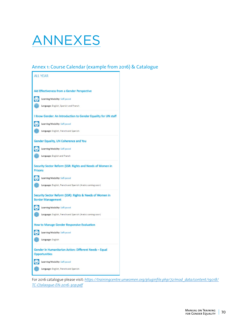

## Annex 1: Course Calendar (example from 2016) & Catalogue

| <b>ALL YEAR</b>                                                                      |  |  |  |
|--------------------------------------------------------------------------------------|--|--|--|
|                                                                                      |  |  |  |
| Aid Effectiveness from a Gender Perspective                                          |  |  |  |
| Learning Modality: Self-paced                                                        |  |  |  |
| (ER) Language: English, Spanish and French                                           |  |  |  |
| I Know Gender: An Introduction to Gender Equality for UN staff                       |  |  |  |
| Learning Modality: Self-paced                                                        |  |  |  |
| (1) Language: English, French and Spanish                                            |  |  |  |
| <b>Gender Equality, UN Coherence and You</b>                                         |  |  |  |
| Learning Modality: Self-paced                                                        |  |  |  |
| ( <sup>42</sup> ) Language: English and French                                       |  |  |  |
| Security Sector Reform (SSR: Rights and Needs of Women in<br><b>Prisons</b>          |  |  |  |
| Learning Modality: Self-paced                                                        |  |  |  |
| ( <sup>11</sup> ) Language: English, French and Spanish (Arabic coming soon)         |  |  |  |
| Security Sector Reform (SSR): Rights & Needs of Women in<br><b>Border Management</b> |  |  |  |
| Learning Modality: Self-paced                                                        |  |  |  |
| (22) Language: English, French and Spanish (Arabic coming soon)                      |  |  |  |
| <b>How to Manage Gender Responsive Evaluation</b>                                    |  |  |  |
| Learning Modality: Self-paced                                                        |  |  |  |
| (() Language: English                                                                |  |  |  |
| Gender in Humanitarian Action: Different Needs - Equal<br><b>Opportunities</b>       |  |  |  |
| Learning Modality: Self-paced                                                        |  |  |  |
| Language: English, French and Spanish                                                |  |  |  |

For 2016 catalogue please visit: *[https://trainingcentre.unwomen.org/pluginfile.php/72/mod\\_data/content/19018/](https://trainingcentre.unwomen.org/pluginfile.php/72/mod_data/content/19018/TC-Ctalaogue-EN-2016-30p.pdf) [TC-Ctalaogue-EN-2016-30p.pdf](https://trainingcentre.unwomen.org/pluginfile.php/72/mod_data/content/19018/TC-Ctalaogue-EN-2016-30p.pdf)*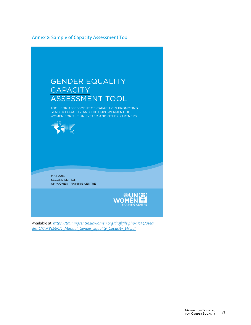## Annex 2: Sample of Capacity Assessment Tool



Available at: *[https://trainingcentre.unwomen.org/draftfile.php/11255/user/](https://trainingcentre.unwomen.org/draftfile.php/11255/user/draft/179584689/2_Manual_Gender_Equality_Capacity_EN.pdf
) [draft/179584689/2\\_Manual\\_Gender\\_Equality\\_Capacity\\_EN.pdf](https://trainingcentre.unwomen.org/draftfile.php/11255/user/draft/179584689/2_Manual_Gender_Equality_Capacity_EN.pdf
)*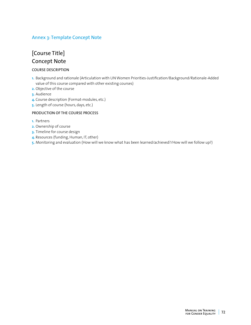## Annex 3: Template Concept Note

## [Course Title] Concept Note

#### COURSE DESCRIPTION

- 1. Background and rationale (Articulation with UN Women Priorities-Justification/Background/Rationale-Added value of this course compared with other existing courses)
- **2.** Objective of the course
- **3.** Audience
- 4. Course description (Format-modules, etc.)
- **5.** Length of course (hours, days, etc.)

#### PRODUCTION OF THE COURSE PROCESS

- **1.** Partners
- **2.** Ownership of course
- **3.** Timeline for course design
- **4.** Resources (funding, Human, IT, other)
- 5. Monitoring and evaluation (How will we know what has been learned/achieved?/How will we follow up?)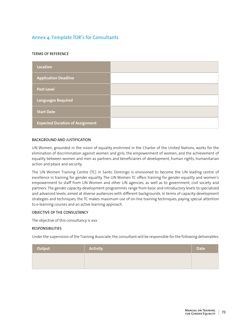## Annex 4: Template TOR's for Consultants

#### TERMS OF REFERENCE

| Location                               |  |
|----------------------------------------|--|
| <b>Application Deadline</b>            |  |
| <b>Post Level</b>                      |  |
| Languages Required                     |  |
| <b>Start Date</b>                      |  |
| <b>Expected Duration of Assignment</b> |  |

#### BACKGROUND AND JUSTIFICATION

UN Women, grounded in the vision of equality enshrined in the Charter of the United Nations, works for the elimination of discrimination against women and girls; the empowerment of women; and the achievement of equality between women and men as partners and beneficiaries of development, human rights, humanitarian action and peace and security.

The UN Women Training Centre (TC) in Santo Domingo is envisioned to become the UN leading centre of excellence in training for gender equality. The UN Women TC offers training for gender equality and women's empowerment to staff from UN Women and other UN agencies, as well as to government, civil society and partners. The gender capacity-development programmes range from basic and introductory levels to specialized and advanced levels, aimed at diverse audiences with different backgrounds. In terms of capacity-development strategies and techniques, the TC makes maximum use of on-line training techniques, paying special attention to e-learning courses and an active learning approach.

#### OBJECTIVE OF THE CONSULTANCY

The objective of this consultancy is xxx

#### RESPONSIBILITIES

Under the supervision of the Training Associate, the consultant will be responsible for the following deliverables:

| Output | Activity | <b>Date</b> |
|--------|----------|-------------|
|        |          |             |
|        |          |             |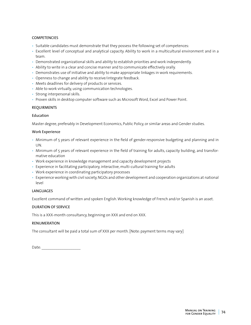#### **COMPETENCIES**

- Suitable candidates must demonstrate that they possess the following set of competences:
- Excellent level of conceptual and analytical capacity. Ability to work in a multicultural environment and in a team.
- Demonstrated organizational skills and ability to establish priorities and work independently.
- Ability to write in a clear and concise manner and to communicate effectively orally.
- Demonstrates use of initiative and ability to make appropriate linkages in work requirements.
- Openness to change and ability to receive/integrate feedback.
- Meets deadlines for delivery of products or services.
- Able to work virtually, using communication technologies.
- Strong interpersonal skills.
- Proven skills in desktop computer software such as Microsoft Word, Excel and Power Point.

#### REQUIRMENTS

#### Education

Master degree, preferably in Development Economics, Public Policy, or similar areas and Gender studies.

#### Work Experience

- Minimum of 5 years of relevant experience in the field of gender-responsive budgeting and planning and in UN.
- Minimum of 5 years of relevant experience in the field of training for adults, capacity building, and transformative education
- Work experience in knowledge management and capacity development projects
- Experience in facilitating participatory, interactive, multi-cultural training for adults
- Work experience in coordinating participatory processes
- Experience working with civil society, NGOs and other development and cooperation organizations at national level

#### LANGUAGES

Excellent command of written and spoken English. Working knowledge of French and/or Spanish is an asset.

#### DURATION OF SERVICE

This is a XXX-month consultancy, beginning on XXX and end on XXX.

#### RENUMERATION

The consultant will be paid a total sum of XXX per month. [Note: payment terms may vary]

| Date: |  |
|-------|--|
|       |  |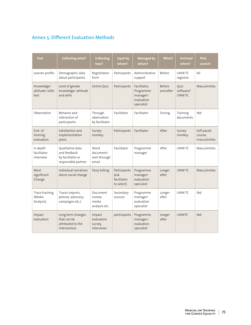# Annex 5: Different Evaluation Methods

| <b>Tool</b>                           | <b>Collecting what?</b>                                                      | <b>Collecting</b><br>how?                     | Input by<br>whom?                                 | <b>Managed by</b><br>whom?                                        | <b>When?</b>        | <b>Archived</b><br>where?         | <b>Pilot</b><br>course?                |
|---------------------------------------|------------------------------------------------------------------------------|-----------------------------------------------|---------------------------------------------------|-------------------------------------------------------------------|---------------------|-----------------------------------|----------------------------------------|
| Learner profile                       | Demographic data<br>about participants                                       | Registration<br>form                          | Participants                                      | Administrative<br>support                                         | <b>Before</b>       | <b>UNWTC</b><br>registrar         | All                                    |
| Knowledge/<br>attitude/skills<br>test | Level of gender<br>knowledge/attitude<br>and skills                          | Online Quiz                                   | Participants                                      | Facilitator,<br>Programme<br>manager/<br>evaluation<br>specialist | Before<br>and after | Quiz<br>software?<br><b>UNWTC</b> | Masculinities                          |
| Observation                           | Behavior and<br>interaction of<br>participants                               | Through<br>observation<br>by facilitator      | Facilitator                                       | Facilitator                                                       | During              | Training<br>documents             | tbd                                    |
| End- of<br>training<br>evaluation     | Satisfaction and<br>implementation<br>plans                                  | Survey<br>monkey                              | Participants                                      | Facilitator                                                       | After               | Survey<br>monkey                  | Self-paced<br>course:<br>masculinities |
| In depth<br>facilitator<br>interview  | Oualitative data<br>and feedback<br>by facilitator or<br>responsible partner | Word<br>document/<br>sent through<br>email    | Facilitator                                       | Programme<br>manager                                              | After               | UNW TC                            | Masculinities                          |
| Most<br>significant<br>Change         | Individual narratives<br>about social change                                 | Story telling                                 | Participants<br>(ask<br>facilitator<br>to select) | Programme<br>manager/<br>evaluation<br>specialist                 | Longer<br>after     | UNW TC                            | Masculinities                          |
| Trace tracking<br>(Media<br>Analysis) | Traces (reports,<br>policies, advocacy<br>campaigns etc.)                    | Document<br>review,<br>media<br>analysis etc. | Secondary<br>sources                              | Programme<br>manager/<br>evaluation<br>specialist                 | Longer<br>after     | UNW TC                            | tbd                                    |
| Impact<br>evaluation                  | Long term changes<br>that can be<br>attributed to the<br>intervention        | Impact<br>evaluation<br>survey,<br>interviews | participants                                      | Programme<br>manager/<br>evaluation<br>specialist                 | Longer<br>after     | <b>UNWTC</b>                      | tbd                                    |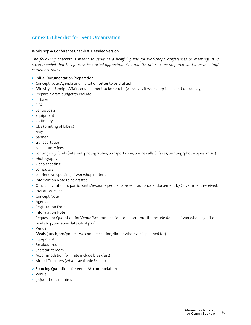## Annex 6: Checklist for Event Organization

#### Workshop & Conference Checklist. Detailed Version

*The following checklist is meant to serve as a helpful guide for workshops, conferences or meetings. It is recommended that this process be started approximately 2 months prior to the preferred workshop/meeting/ conference dates.*

- **1.** Initial Documentation Preparation
- Concept Note, Agenda and Invitation Letter to be drafted
- Ministry of Foreign Affairs endorsement to be sought (especially if workshop is held out of country)
- Prepare a draft budget to include
- airfares
- DSA
- venue costs
- equipment
- stationery
- CDs (printing of labels)
- bags
- banner
- transportation
- consultancy fees
- contingency funds (internet, photographer, transportation, phone calls & faxes, printing/photocopies, misc.)
- photography
- video shooting
- computers
- courier (transporting of workshop material)
- Information Note to be drafted
- Official invitation to participants/resource people to be sent out once endorsement by Government received.
- Invitation letter
- Concept Note
- Agenda
- Registration Form
- Information Note
- Request for Quotation for Venue/Accommodation to be sent out (to include details of workshop e.g. title of workshop, tentative dates, # of pax)
- Venue
- Meals (lunch, am/pm tea, welcome reception, dinner, whatever is planned for)
- Equipment
- Breakout rooms
- Secretariat room
- Accommodation (will rate include breakfast)
- Airport Transfers (what's available & cost)

#### **2.** Sourcing Quotations for Venue/Accommodation

- Venue
- 3 Quotations required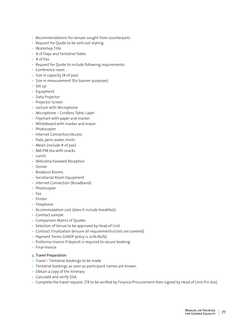- Recommendations for venues sought from counterparts
- Request for Quote to be sent out stating:
- Workshop Title
- # of Days and Tentative Dates
- # of Pax
- Request for Quote to include following requirements:
- Conference room
- Size in capacity (# of pax)
- Size in measurement (for banner purposes)
- Set up
- Equipment
- Data Projector
- Projector Screen
- Lecture with Microphone
- Microphone Cordless, Table, Lapel
- Flipchart with paper and marker
- Whiteboard with marker and eraser
- Photocopier
- Internet Connection/Access
- Pads, pens, water, mints
- Meals (include  $#$  of pax)
- AM/PM tea with snacks
- Lunch
- Welcome/Farewell Reception
- Dinner
- Breakout Rooms
- Secretariat Room Equipment
- Internet Connection (Broadband)
- Photocopier
- Fax
- Printer
- Telephone
- Accommodation cost (does it include breakfast)
- Contract sample
- Comparison Matrix of Quotes
- Selection of Venue to be approved by Head of Unit
- Contract Finalization (ensure all requirements/costs are covered)
- Payment Terms (UNDP policy is 20%/80%)
- Proforma Invoice if deposit is required to secure booking
- Final Invoice

#### **3.** Travel Preparation

- Travel Tentative bookings to be made
- Tentative bookings as soon as participant names are known.
- Obtain a copy of the itinerary
- Calculate and verify DSA
- Complete the travel request. (TR to be verified by Finance/Procurement then signed by Head of Unit/Fin Ass).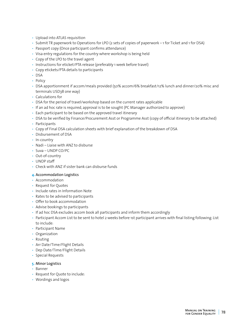- Upload into ATLAS requisition
- Submit TR paperwork to Operations for LPO (2 sets of copies of paperwork 1 for Ticket and 1 for DSA)
- Passport copy (Once participant confirms attendance)
- Visa entry regulations for the country where workshop is being held
- Copy of the LPO to the travel agent
- Instructions for eticket/PTA release (preferably 1 week before travel)
- Copy etickets/PTA details to participants
- DSA
- Policy
- DSA apportionment if accom/meals provided (50% accom/6% breakfast/12% lunch and dinner/20% misc and terminals USD38 one way)
- Calculations for
- DSA for the period of travel/workshop based on the current rates applicable
- If an ad hoc rate is required, approval is to be sought (PC Manager authorized to approve)
- Each participant to be based on the approved travel itinerary
- DSA to be verified by Finance/Procurement Asst or Programme Asst (copy of official itinerary to be attached)
- Participants
- Copy of Final DSA calculation sheets with brief explanation of the breakdown of DSA
- Disbursement of DSA
- In-country
- Nadi Liaise with ANZ to disburse
- Suva UNDP CO/PC
- Out-of-country
- UNDP staff
- Check with ANZ if sister bank can disburse funds

#### **4.** Accommodation Logistics

- Accommodation
- Request for Quotes
- Include rates in Information Note
- Rates to be advised to participants
- Offer to book accommodation
- Advise bookings to participants
- If ad hoc DSA excludes accom book all participants and inform them accordingly
- Participant Accom List to be sent to hotel 2 weeks before 1st participant arrives with final listing following. List to include:
- Participant Name
- Organization
- Routing
- Arr Date/Time/Flight Details
- Dep Date/Time/Flight Details
- Special Requests
- **5.** Minor Logistics
- Banner
- Request for Quote to include:
- Wordings and logos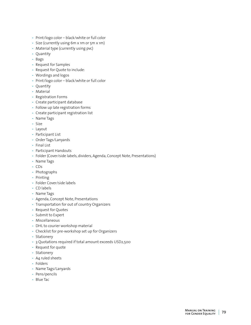- Print/logo color black/white or full color
- Size (currently using 6m x 1m or 5m x 1m)
- Material type (currently using pvc)
- Quantity
- Bags
- Request for Samples
- Request for Quote to include:
- Wordings and logos
- Print/logo color black/white or full color
- Quantity
- Material
- Registration Forms
- Create participant database
- Follow up late registration forms
- Create participant registration list
- Name Tags
- Size
- Layout
- Participant List
- Order Tags/Lanyards
- Final List
- Participant Handouts
- Folder (Cover/side labels, dividers, Agenda, Concept Note, Presentations)
- Name Tags
- CDs
- Photographs
- Printing
- Folder Cover/side labels
- CD labels
- Name Tags
- Agenda, Concept Note, Presentations
- Transportation for out of country Organizers
- Request for Quotes
- Submit to Expert
- Miscellaneous
- DHL to courier workshop material
- Checklist for pre-workshop set up for Organizers
- Stationery
- 3 Quotations required if total amount exceeds USD2,500
- Request for quote
- Stationery
- A4 ruled sheets
- Folders
- Name Tags/Lanyards
- Pens/pencils
- Blue Tac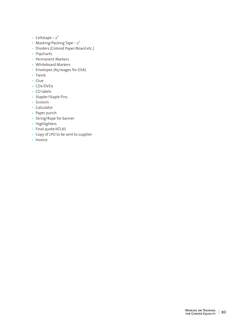- Cellotape 2"
- Masking/Packing Tape 2"
- Dividers (Colored Paper/Board etc.)
- Flipcharts
- Permanent Markers
- Whiteboard Markers
- Envelopes (A5/wages for DSA)
- Twink
- Glue
- CDs/DVDs
- CD labels
- Stapler/Staple Pins
- Scissors
- Calculator
- Paper punch
- String/Rope for banner
- Highlighters
- Final quote/ATLAS
- Copy of LPO to be sent to supplier
- Invoice